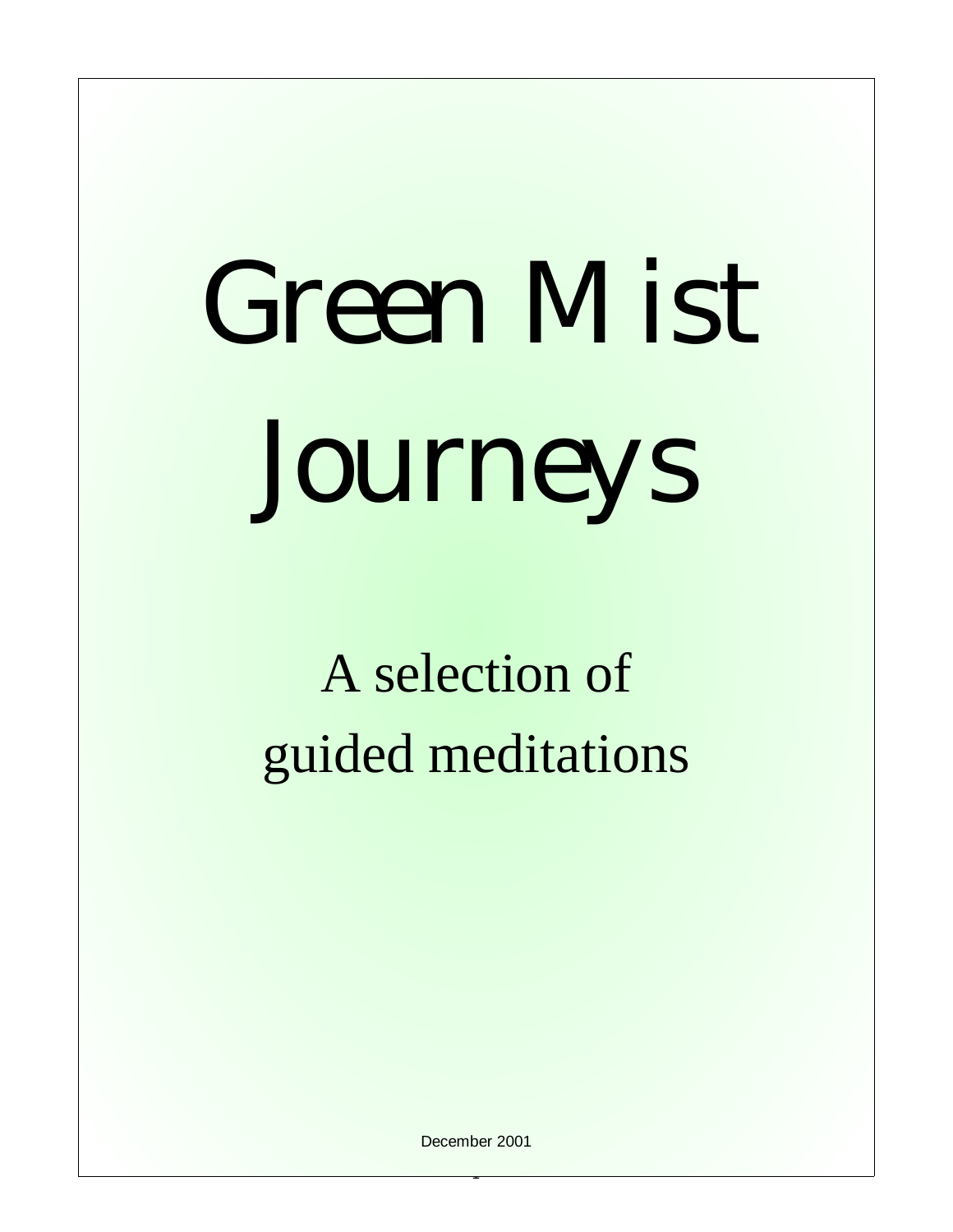# Green Mist Journeys

A selection of guided meditations

December 2001

1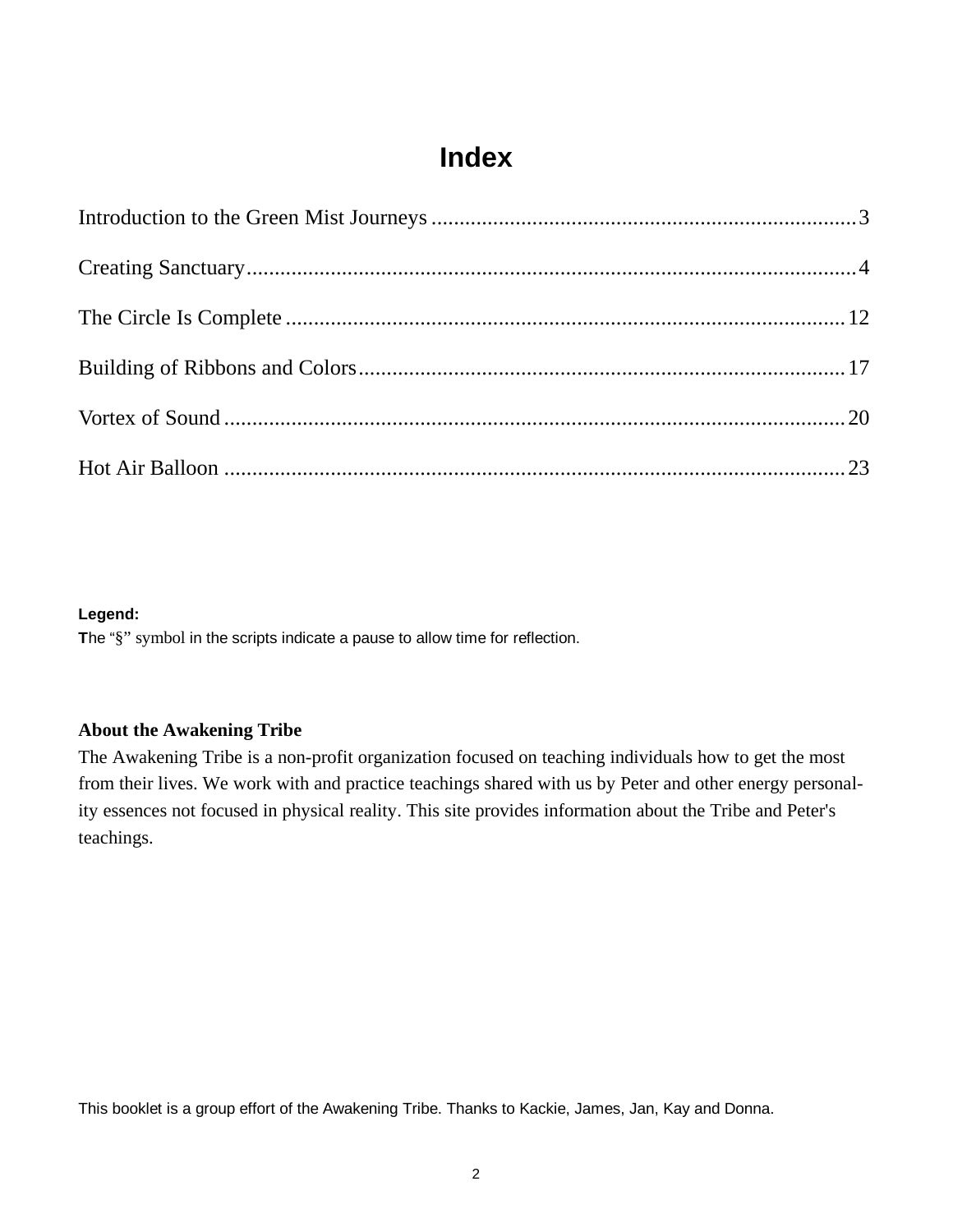# **Index**

### **Legend:**

**T**he "§" symbol in the scripts indicate a pause to allow time for reflection.

### **About the Awakening Tribe**

The Awakening Tribe is a non-profit organization focused on teaching individuals how to get the most from their lives. We work with and practice teachings shared with us by Peter and other energy personality essences not focused in physical reality. This site provides information about the Tribe and Peter's teachings.

This booklet is a group effort of the Awakening Tribe. Thanks to Kackie, James, Jan, Kay and Donna.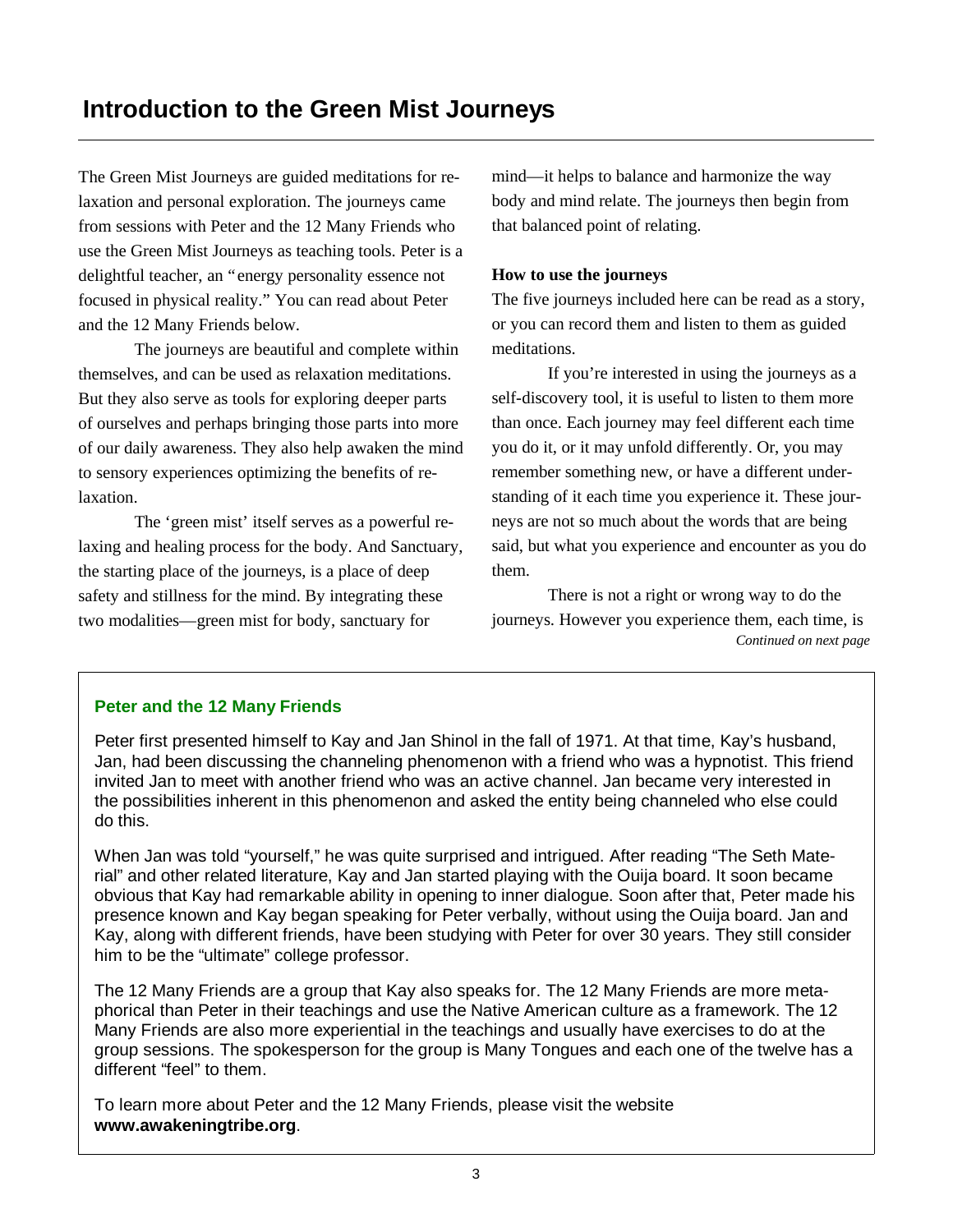The Green Mist Journeys are guided meditations for relaxation and personal exploration. The journeys came from sessions with Peter and the 12 Many Friends who use the Green Mist Journeys as teaching tools. Peter is a delightful teacher, an "energy personality essence not focused in physical reality." You can read about Peter and the 12 Many Friends below.

 The journeys are beautiful and complete within themselves, and can be used as relaxation meditations. But they also serve as tools for exploring deeper parts of ourselves and perhaps bringing those parts into more of our daily awareness. They also help awaken the mind to sensory experiences optimizing the benefits of relaxation.

 The 'green mist' itself serves as a powerful relaxing and healing process for the body. And Sanctuary, the starting place of the journeys, is a place of deep safety and stillness for the mind. By integrating these two modalities— green mist for body, sanctuary for

mind— it helps to balance and harmonize the way body and mind relate. The journeys then begin from that balanced point of relating.

### **How to use the journeys**

The five journeys included here can be read as a story, or you can record them and listen to them as guided meditations.

 If you're interested in using the journeys as a self-discovery tool, it is useful to listen to them more than once. Each journey may feel different each time you do it, or it may unfold differently. Or, you may remember something new, or have a different understanding of it each time you experience it. These journeys are not so much about the words that are being said, but what you experience and encounter as you do them.

 There is not a right or wrong way to do the journeys. However you experience them, each time, is *Continued on next page*

### **Peter and the 12 Many Friends**

Peter first presented himself to Kay and Jan Shinol in the fall of 1971. At that time, Kay's husband, Jan, had been discussing the channeling phenomenon with a friend who was a hypnotist. This friend invited Jan to meet with another friend who was an active channel. Jan became very interested in the possibilities inherent in this phenomenon and asked the entity being channeled who else could do this.

When Jan was told "yourself," he was quite surprised and intrigued. After reading "The Seth Material" and other related literature, Kay and Jan started playing with the Ouija board. It soon became obvious that Kay had remarkable ability in opening to inner dialogue. Soon after that, Peter made his presence known and Kay began speaking for Peter verbally, without using the Ouija board. Jan and Kay, along with different friends, have been studying with Peter for over 30 years. They still consider him to be the "ultimate" college professor.

The 12 Many Friends are a group that Kay also speaks for. The 12 Many Friends are more metaphorical than Peter in their teachings and use the Native American culture as a framework. The 12 Many Friends are also more experiential in the teachings and usually have exercises to do at the group sessions. The spokesperson for the group is Many Tongues and each one of the twelve has a different "feel" to them.

To learn more about Peter and the 12 Many Friends, please visit the website **www.awakeningtribe.org**.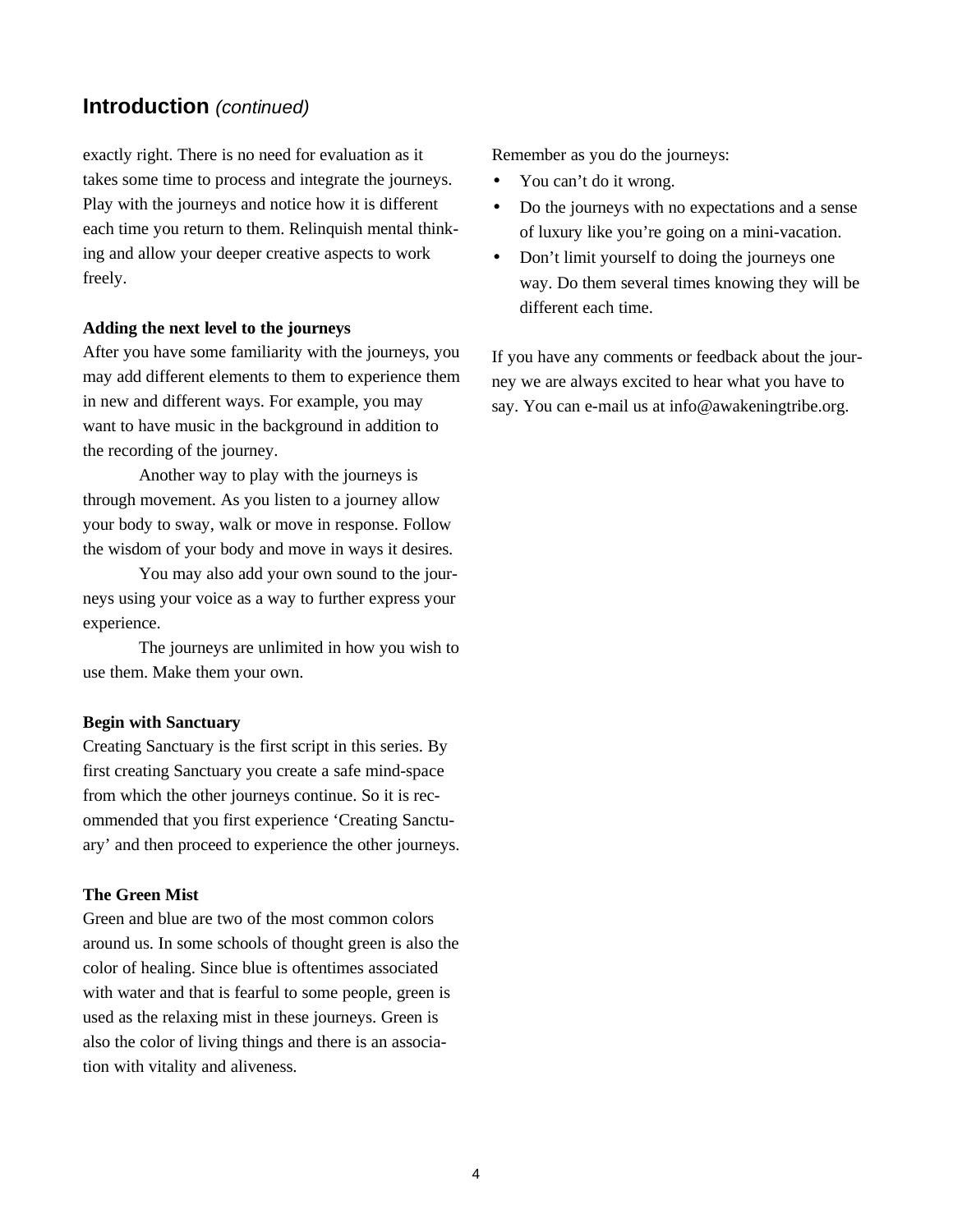### **Introduction** *(continued)*

exactly right. There is no need for evaluation as it takes some time to process and integrate the journeys. Play with the journeys and notice how it is different each time you return to them. Relinquish mental thinking and allow your deeper creative aspects to work freely.

### **Adding the next level to the journeys**

After you have some familiarity with the journeys, you may add different elements to them to experience them in new and different ways. For example, you may want to have music in the background in addition to the recording of the journey.

 Another way to play with the journeys is through movement. As you listen to a journey allow your body to sway, walk or move in response. Follow the wisdom of your body and move in ways it desires.

 You may also add your own sound to the journeys using your voice as a way to further express your experience.

 The journeys are unlimited in how you wish to use them. Make them your own.

### **Begin with Sanctuary**

Creating Sanctuary is the first script in this series. By first creating Sanctuary you create a safe mind-space from which the other journeys continue. So it is recommended that you first experience 'Creating Sanctuary' and then proceed to experience the other journeys.

### **The Green Mist**

Green and blue are two of the most common colors around us. In some schools of thought green is also the color of healing. Since blue is oftentimes associated with water and that is fearful to some people, green is used as the relaxing mist in these journeys. Green is also the color of living things and there is an association with vitality and aliveness.

Remember as you do the journeys:

- You can't do it wrong.
- Do the journeys with no expectations and a sense of luxury like you're going on a mini-vacation.
- Don't limit yourself to doing the journeys one way. Do them several times knowing they will be different each time.

If you have any comments or feedback about the journey we are always excited to hear what you have to say. You can e-mail us at info@awakeningtribe.org.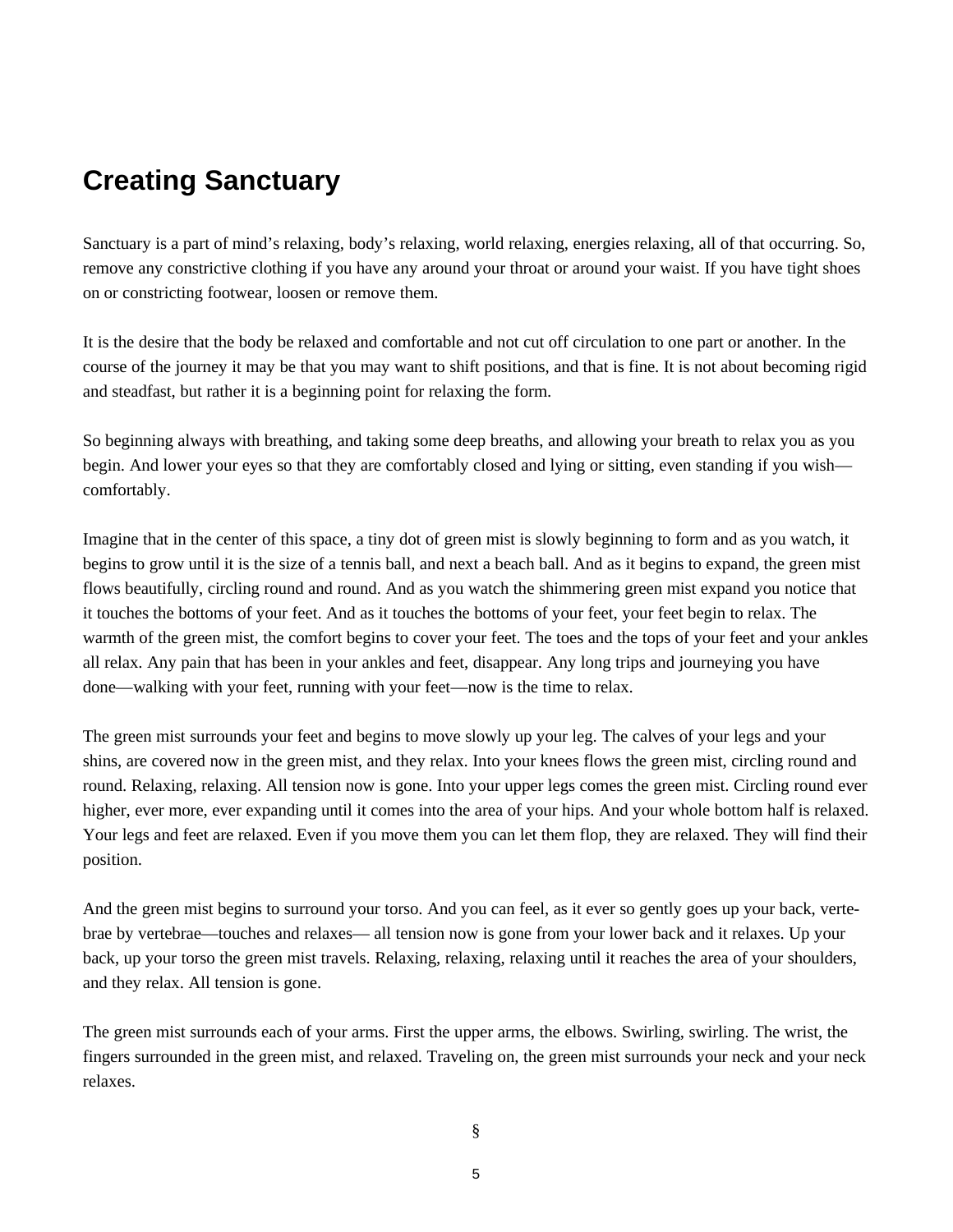# **Creating Sanctuary**

Sanctuary is a part of mind's relaxing, body's relaxing, world relaxing, energies relaxing, all of that occurring. So, remove any constrictive clothing if you have any around your throat or around your waist. If you have tight shoes on or constricting footwear, loosen or remove them.

It is the desire that the body be relaxed and comfortable and not cut off circulation to one part or another. In the course of the journey it may be that you may want to shift positions, and that is fine. It is not about becoming rigid and steadfast, but rather it is a beginning point for relaxing the form.

So beginning always with breathing, and taking some deep breaths, and allowing your breath to relax you as you begin. And lower your eyes so that they are comfortably closed and lying or sitting, even standing if you wish comfortably.

Imagine that in the center of this space, a tiny dot of green mist is slowly beginning to form and as you watch, it begins to grow until it is the size of a tennis ball, and next a beach ball. And as it begins to expand, the green mist flows beautifully, circling round and round. And as you watch the shimmering green mist expand you notice that it touches the bottoms of your feet. And as it touches the bottoms of your feet, your feet begin to relax. The warmth of the green mist, the comfort begins to cover your feet. The toes and the tops of your feet and your ankles all relax. Any pain that has been in your ankles and feet, disappear. Any long trips and journeying you have done— walking with your feet, running with your feet— now is the time to relax.

The green mist surrounds your feet and begins to move slowly up your leg. The calves of your legs and your shins, are covered now in the green mist, and they relax. Into your knees flows the green mist, circling round and round. Relaxing, relaxing. All tension now is gone. Into your upper legs comes the green mist. Circling round ever higher, ever more, ever expanding until it comes into the area of your hips. And your whole bottom half is relaxed. Your legs and feet are relaxed. Even if you move them you can let them flop, they are relaxed. They will find their position.

And the green mist begins to surround your torso. And you can feel, as it ever so gently goes up your back, vertebrae by vertebrae— touches and relaxes— all tension now is gone from your lower back and it relaxes. Up your back, up your torso the green mist travels. Relaxing, relaxing, relaxing until it reaches the area of your shoulders, and they relax. All tension is gone.

The green mist surrounds each of your arms. First the upper arms, the elbows. Swirling, swirling. The wrist, the fingers surrounded in the green mist, and relaxed. Traveling on, the green mist surrounds your neck and your neck relaxes.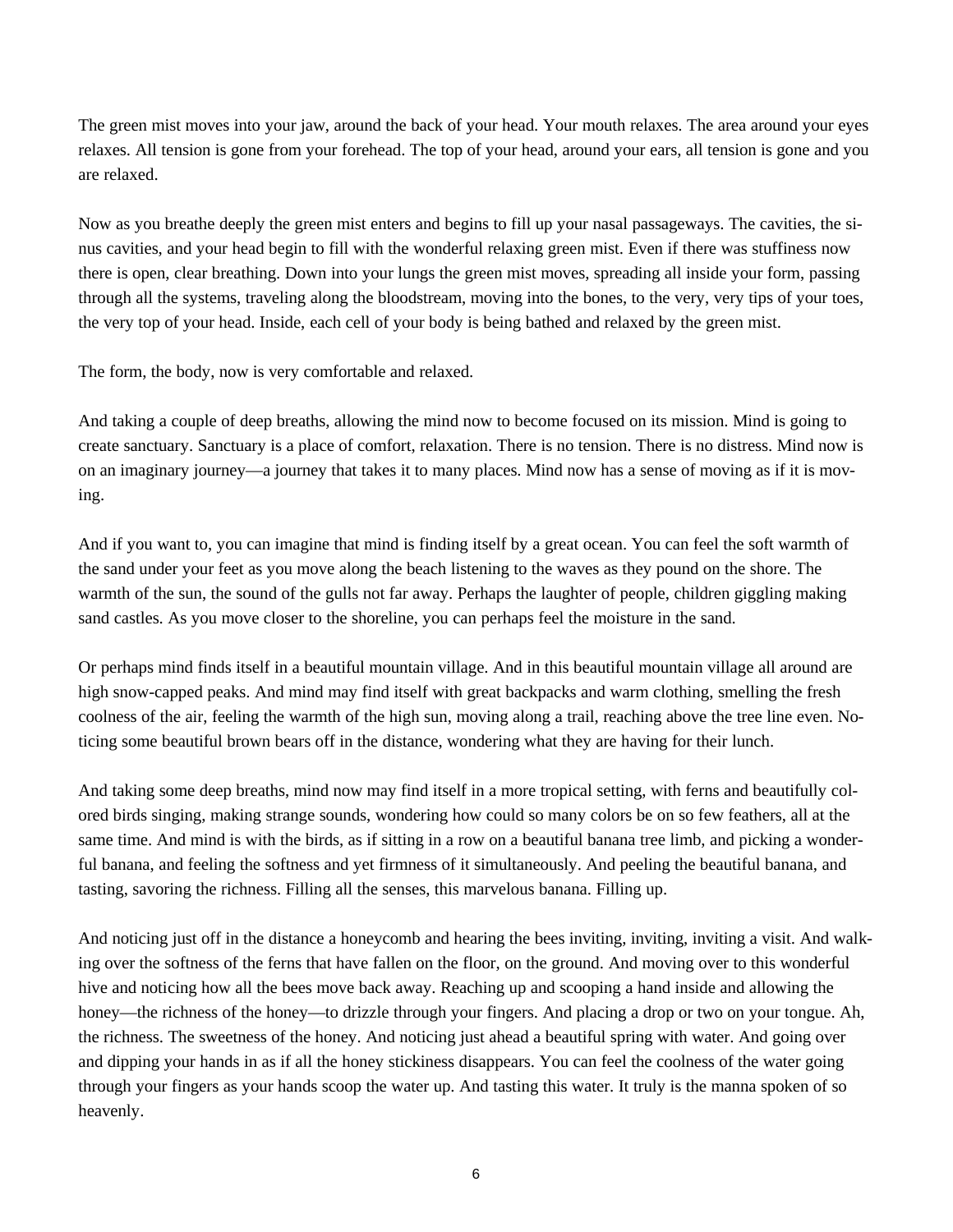The green mist moves into your jaw, around the back of your head. Your mouth relaxes. The area around your eyes relaxes. All tension is gone from your forehead. The top of your head, around your ears, all tension is gone and you are relaxed.

Now as you breathe deeply the green mist enters and begins to fill up your nasal passageways. The cavities, the sinus cavities, and your head begin to fill with the wonderful relaxing green mist. Even if there was stuffiness now there is open, clear breathing. Down into your lungs the green mist moves, spreading all inside your form, passing through all the systems, traveling along the bloodstream, moving into the bones, to the very, very tips of your toes, the very top of your head. Inside, each cell of your body is being bathed and relaxed by the green mist.

The form, the body, now is very comfortable and relaxed.

And taking a couple of deep breaths, allowing the mind now to become focused on its mission. Mind is going to create sanctuary. Sanctuary is a place of comfort, relaxation. There is no tension. There is no distress. Mind now is on an imaginary journey— a journey that takes it to many places. Mind now has a sense of moving as if it is moving.

And if you want to, you can imagine that mind is finding itself by a great ocean. You can feel the soft warmth of the sand under your feet as you move along the beach listening to the waves as they pound on the shore. The warmth of the sun, the sound of the gulls not far away. Perhaps the laughter of people, children giggling making sand castles. As you move closer to the shoreline, you can perhaps feel the moisture in the sand.

Or perhaps mind finds itself in a beautiful mountain village. And in this beautiful mountain village all around are high snow-capped peaks. And mind may find itself with great backpacks and warm clothing, smelling the fresh coolness of the air, feeling the warmth of the high sun, moving along a trail, reaching above the tree line even. Noticing some beautiful brown bears off in the distance, wondering what they are having for their lunch.

And taking some deep breaths, mind now may find itself in a more tropical setting, with ferns and beautifully colored birds singing, making strange sounds, wondering how could so many colors be on so few feathers, all at the same time. And mind is with the birds, as if sitting in a row on a beautiful banana tree limb, and picking a wonderful banana, and feeling the softness and yet firmness of it simultaneously. And peeling the beautiful banana, and tasting, savoring the richness. Filling all the senses, this marvelous banana. Filling up.

And noticing just off in the distance a honeycomb and hearing the bees inviting, inviting, inviting a visit. And walking over the softness of the ferns that have fallen on the floor, on the ground. And moving over to this wonderful hive and noticing how all the bees move back away. Reaching up and scooping a hand inside and allowing the honey—the richness of the honey—to drizzle through your fingers. And placing a drop or two on your tongue. Ah, the richness. The sweetness of the honey. And noticing just ahead a beautiful spring with water. And going over and dipping your hands in as if all the honey stickiness disappears. You can feel the coolness of the water going through your fingers as your hands scoop the water up. And tasting this water. It truly is the manna spoken of so heavenly.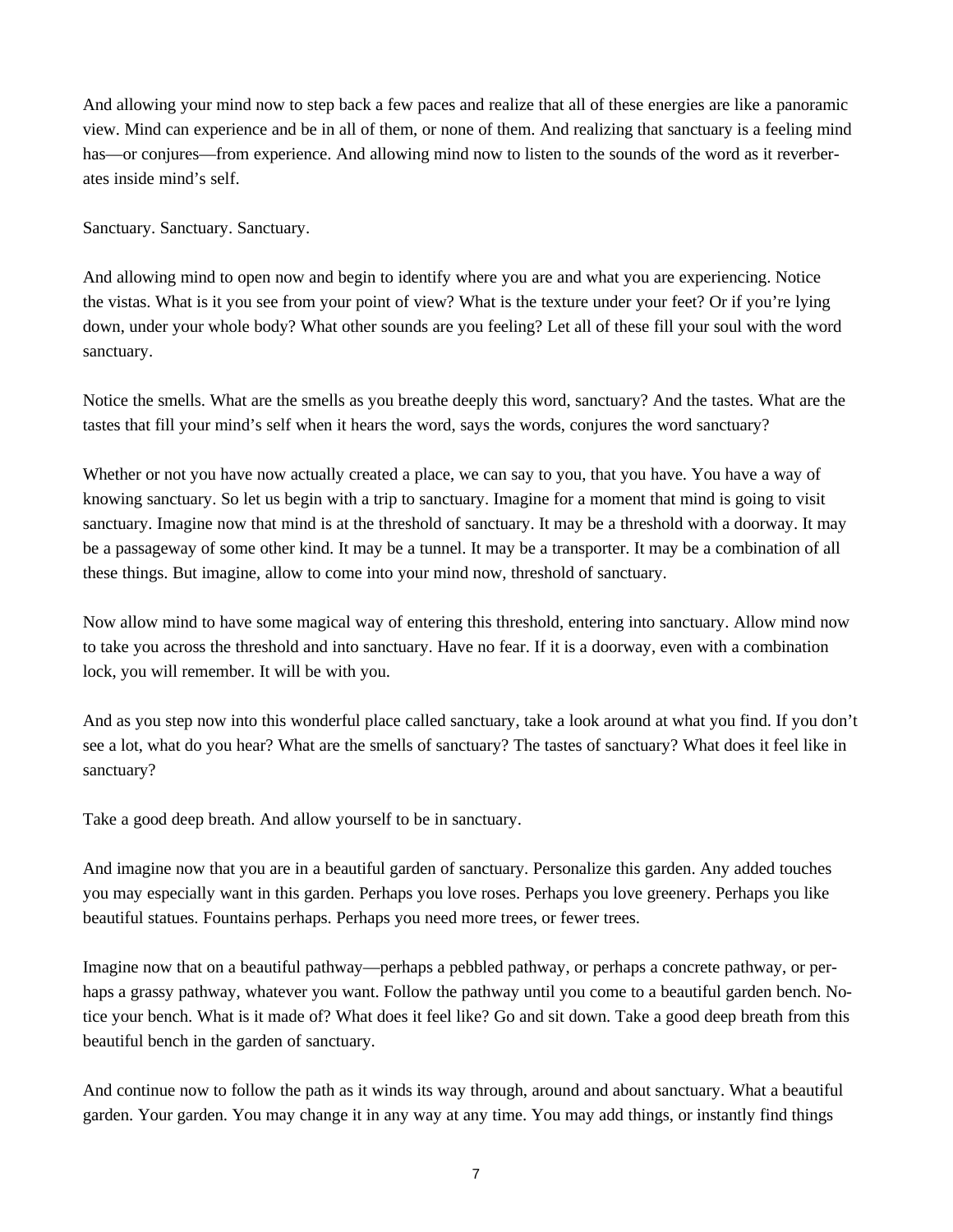And allowing your mind now to step back a few paces and realize that all of these energies are like a panoramic view. Mind can experience and be in all of them, or none of them. And realizing that sanctuary is a feeling mind has—or conjures—from experience. And allowing mind now to listen to the sounds of the word as it reverberates inside mind's self.

Sanctuary. Sanctuary. Sanctuary.

And allowing mind to open now and begin to identify where you are and what you are experiencing. Notice the vistas. What is it you see from your point of view? What is the texture under your feet? Or if you're lying down, under your whole body? What other sounds are you feeling? Let all of these fill your soul with the word sanctuary.

Notice the smells. What are the smells as you breathe deeply this word, sanctuary? And the tastes. What are the tastes that fill your mind's self when it hears the word, says the words, conjures the word sanctuary?

Whether or not you have now actually created a place, we can say to you, that you have. You have a way of knowing sanctuary. So let us begin with a trip to sanctuary. Imagine for a moment that mind is going to visit sanctuary. Imagine now that mind is at the threshold of sanctuary. It may be a threshold with a doorway. It may be a passageway of some other kind. It may be a tunnel. It may be a transporter. It may be a combination of all these things. But imagine, allow to come into your mind now, threshold of sanctuary.

Now allow mind to have some magical way of entering this threshold, entering into sanctuary. Allow mind now to take you across the threshold and into sanctuary. Have no fear. If it is a doorway, even with a combination lock, you will remember. It will be with you.

And as you step now into this wonderful place called sanctuary, take a look around at what you find. If you don't see a lot, what do you hear? What are the smells of sanctuary? The tastes of sanctuary? What does it feel like in sanctuary?

Take a good deep breath. And allow yourself to be in sanctuary.

And imagine now that you are in a beautiful garden of sanctuary. Personalize this garden. Any added touches you may especially want in this garden. Perhaps you love roses. Perhaps you love greenery. Perhaps you like beautiful statues. Fountains perhaps. Perhaps you need more trees, or fewer trees.

Imagine now that on a beautiful pathway— perhaps a pebbled pathway, or perhaps a concrete pathway, or perhaps a grassy pathway, whatever you want. Follow the pathway until you come to a beautiful garden bench. Notice your bench. What is it made of? What does it feel like? Go and sit down. Take a good deep breath from this beautiful bench in the garden of sanctuary.

And continue now to follow the path as it winds its way through, around and about sanctuary. What a beautiful garden. Your garden. You may change it in any way at any time. You may add things, or instantly find things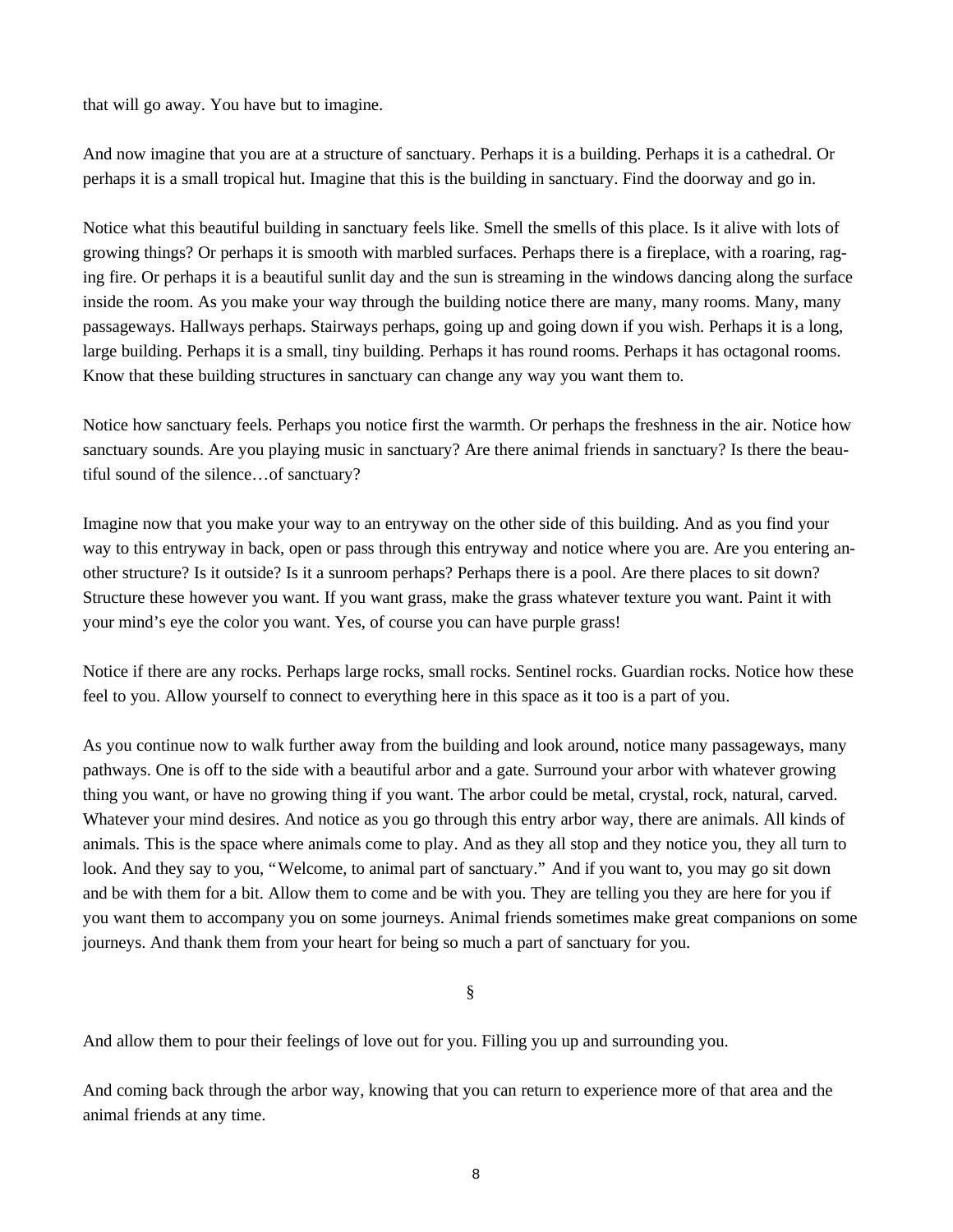that will go away. You have but to imagine.

And now imagine that you are at a structure of sanctuary. Perhaps it is a building. Perhaps it is a cathedral. Or perhaps it is a small tropical hut. Imagine that this is the building in sanctuary. Find the doorway and go in.

Notice what this beautiful building in sanctuary feels like. Smell the smells of this place. Is it alive with lots of growing things? Or perhaps it is smooth with marbled surfaces. Perhaps there is a fireplace, with a roaring, raging fire. Or perhaps it is a beautiful sunlit day and the sun is streaming in the windows dancing along the surface inside the room. As you make your way through the building notice there are many, many rooms. Many, many passageways. Hallways perhaps. Stairways perhaps, going up and going down if you wish. Perhaps it is a long, large building. Perhaps it is a small, tiny building. Perhaps it has round rooms. Perhaps it has octagonal rooms. Know that these building structures in sanctuary can change any way you want them to.

Notice how sanctuary feels. Perhaps you notice first the warmth. Or perhaps the freshness in the air. Notice how sanctuary sounds. Are you playing music in sanctuary? Are there animal friends in sanctuary? Is there the beautiful sound of the silence… of sanctuary?

Imagine now that you make your way to an entryway on the other side of this building. And as you find your way to this entryway in back, open or pass through this entryway and notice where you are. Are you entering another structure? Is it outside? Is it a sunroom perhaps? Perhaps there is a pool. Are there places to sit down? Structure these however you want. If you want grass, make the grass whatever texture you want. Paint it with your mind's eye the color you want. Yes, of course you can have purple grass!

Notice if there are any rocks. Perhaps large rocks, small rocks. Sentinel rocks. Guardian rocks. Notice how these feel to you. Allow yourself to connect to everything here in this space as it too is a part of you.

As you continue now to walk further away from the building and look around, notice many passageways, many pathways. One is off to the side with a beautiful arbor and a gate. Surround your arbor with whatever growing thing you want, or have no growing thing if you want. The arbor could be metal, crystal, rock, natural, carved. Whatever your mind desires. And notice as you go through this entry arbor way, there are animals. All kinds of animals. This is the space where animals come to play. And as they all stop and they notice you, they all turn to look. And they say to you, "Welcome, to animal part of sanctuary." And if you want to, you may go sit down and be with them for a bit. Allow them to come and be with you. They are telling you they are here for you if you want them to accompany you on some journeys. Animal friends sometimes make great companions on some journeys. And thank them from your heart for being so much a part of sanctuary for you.

§

And allow them to pour their feelings of love out for you. Filling you up and surrounding you.

And coming back through the arbor way, knowing that you can return to experience more of that area and the animal friends at any time.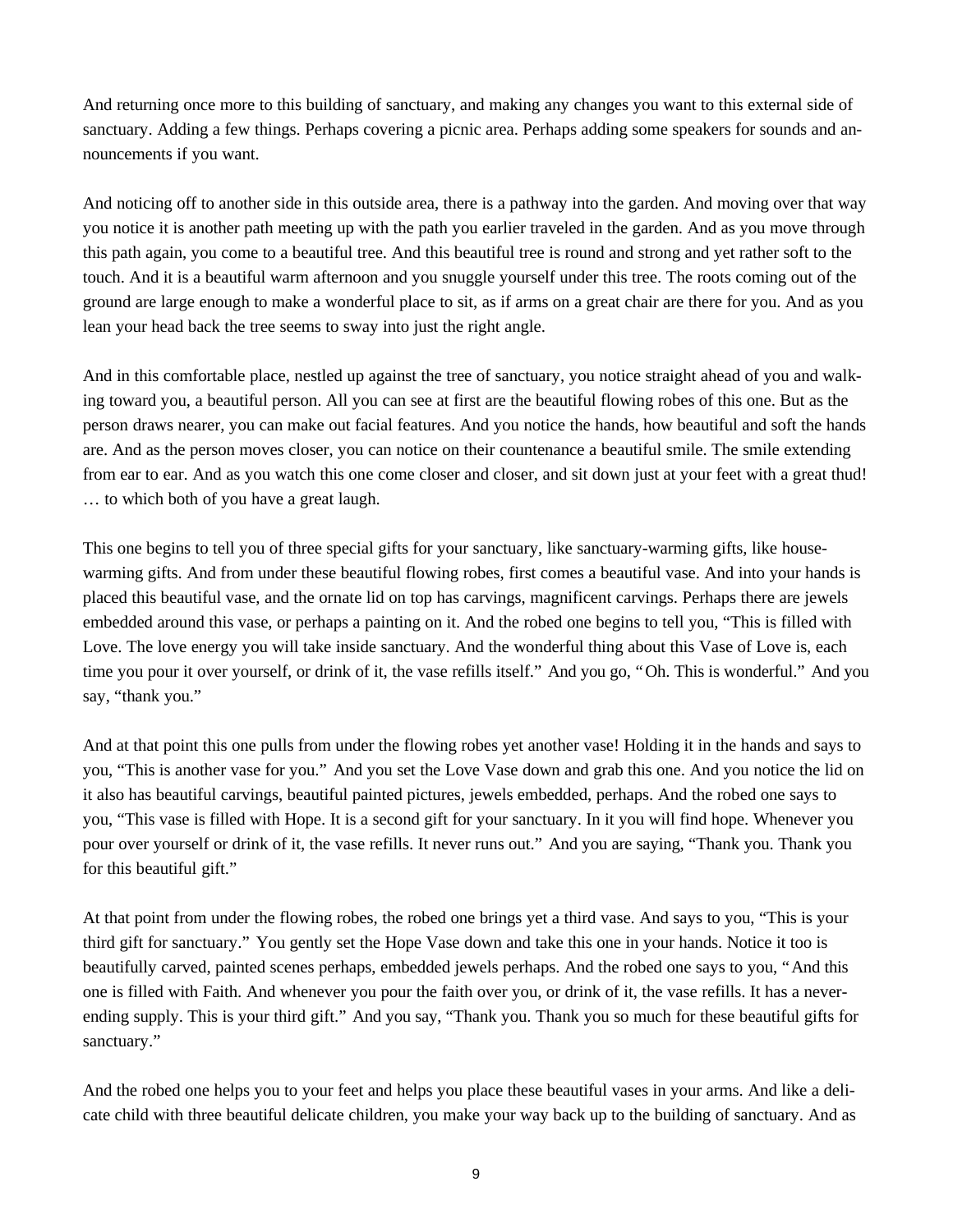And returning once more to this building of sanctuary, and making any changes you want to this external side of sanctuary. Adding a few things. Perhaps covering a picnic area. Perhaps adding some speakers for sounds and announcements if you want.

And noticing off to another side in this outside area, there is a pathway into the garden. And moving over that way you notice it is another path meeting up with the path you earlier traveled in the garden. And as you move through this path again, you come to a beautiful tree. And this beautiful tree is round and strong and yet rather soft to the touch. And it is a beautiful warm afternoon and you snuggle yourself under this tree. The roots coming out of the ground are large enough to make a wonderful place to sit, as if arms on a great chair are there for you. And as you lean your head back the tree seems to sway into just the right angle.

And in this comfortable place, nestled up against the tree of sanctuary, you notice straight ahead of you and walking toward you, a beautiful person. All you can see at first are the beautiful flowing robes of this one. But as the person draws nearer, you can make out facial features. And you notice the hands, how beautiful and soft the hands are. And as the person moves closer, you can notice on their countenance a beautiful smile. The smile extending from ear to ear. And as you watch this one come closer and closer, and sit down just at your feet with a great thud! … to which both of you have a great laugh.

This one begins to tell you of three special gifts for your sanctuary, like sanctuary-warming gifts, like housewarming gifts. And from under these beautiful flowing robes, first comes a beautiful vase. And into your hands is placed this beautiful vase, and the ornate lid on top has carvings, magnificent carvings. Perhaps there are jewels embedded around this vase, or perhaps a painting on it. And the robed one begins to tell you, "This is filled with Love. The love energy you will take inside sanctuary. And the wonderful thing about this Vase of Love is, each time you pour it over yourself, or drink of it, the vase refills itself." And you go, "Oh. This is wonderful." And you say, "thank you."

And at that point this one pulls from under the flowing robes yet another vase! Holding it in the hands and says to you, "This is another vase for you." And you set the Love Vase down and grab this one. And you notice the lid on it also has beautiful carvings, beautiful painted pictures, jewels embedded, perhaps. And the robed one says to you, "This vase is filled with Hope. It is a second gift for your sanctuary. In it you will find hope. Whenever you pour over yourself or drink of it, the vase refills. It never runs out." And you are saying, "Thank you. Thank you for this beautiful gift."

At that point from under the flowing robes, the robed one brings yet a third vase. And says to you, "This is your third gift for sanctuary." You gently set the Hope Vase down and take this one in your hands. Notice it too is beautifully carved, painted scenes perhaps, embedded jewels perhaps. And the robed one says to you, "And this one is filled with Faith. And whenever you pour the faith over you, or drink of it, the vase refills. It has a neverending supply. This is your third gift." And you say, "Thank you. Thank you so much for these beautiful gifts for sanctuary."

And the robed one helps you to your feet and helps you place these beautiful vases in your arms. And like a delicate child with three beautiful delicate children, you make your way back up to the building of sanctuary. And as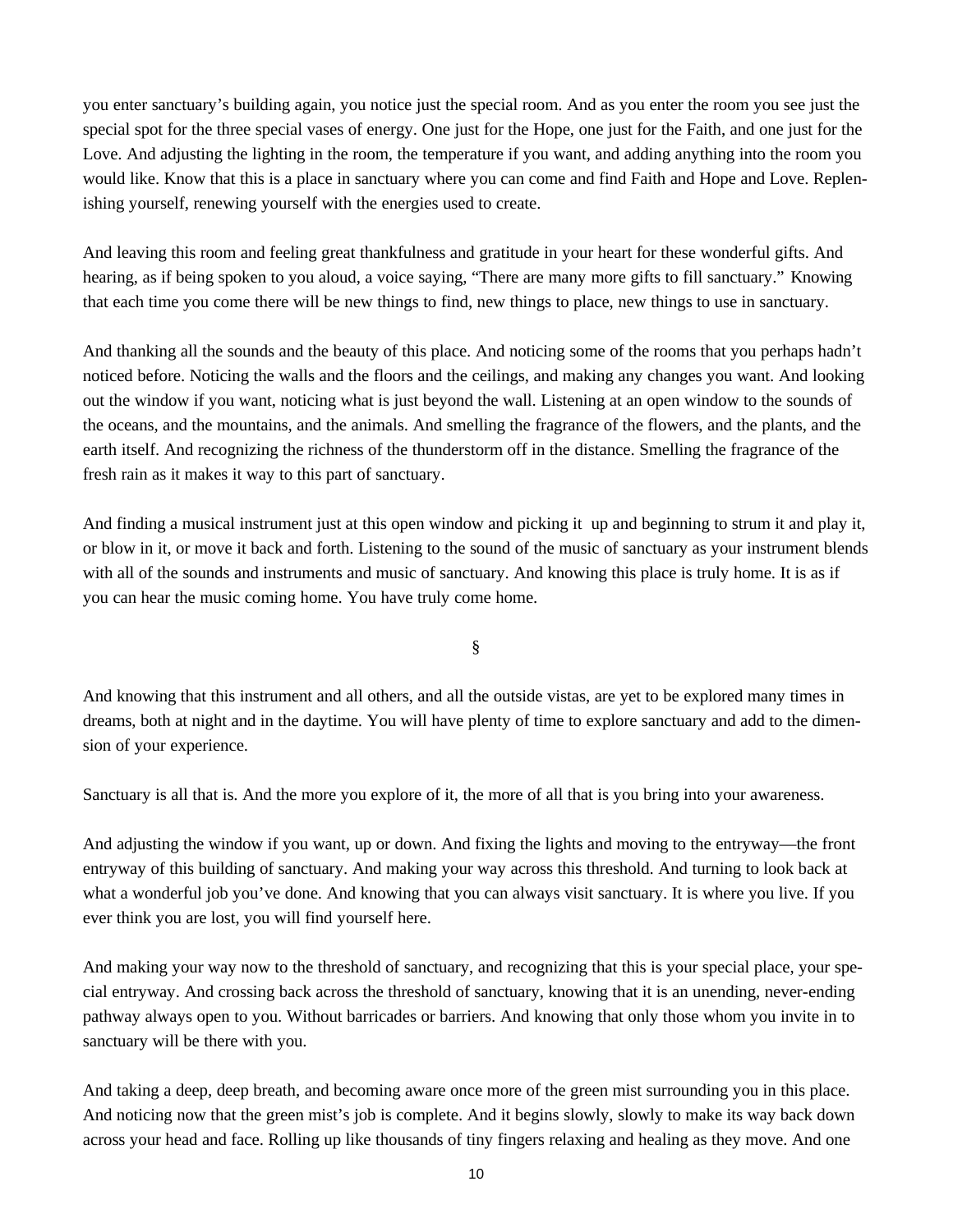you enter sanctuary's building again, you notice just the special room. And as you enter the room you see just the special spot for the three special vases of energy. One just for the Hope, one just for the Faith, and one just for the Love. And adjusting the lighting in the room, the temperature if you want, and adding anything into the room you would like. Know that this is a place in sanctuary where you can come and find Faith and Hope and Love. Replenishing yourself, renewing yourself with the energies used to create.

And leaving this room and feeling great thankfulness and gratitude in your heart for these wonderful gifts. And hearing, as if being spoken to you aloud, a voice saying, "There are many more gifts to fill sanctuary." Knowing that each time you come there will be new things to find, new things to place, new things to use in sanctuary.

And thanking all the sounds and the beauty of this place. And noticing some of the rooms that you perhaps hadn't noticed before. Noticing the walls and the floors and the ceilings, and making any changes you want. And looking out the window if you want, noticing what is just beyond the wall. Listening at an open window to the sounds of the oceans, and the mountains, and the animals. And smelling the fragrance of the flowers, and the plants, and the earth itself. And recognizing the richness of the thunderstorm off in the distance. Smelling the fragrance of the fresh rain as it makes it way to this part of sanctuary.

And finding a musical instrument just at this open window and picking it up and beginning to strum it and play it, or blow in it, or move it back and forth. Listening to the sound of the music of sanctuary as your instrument blends with all of the sounds and instruments and music of sanctuary. And knowing this place is truly home. It is as if you can hear the music coming home. You have truly come home.

§

And knowing that this instrument and all others, and all the outside vistas, are yet to be explored many times in dreams, both at night and in the daytime. You will have plenty of time to explore sanctuary and add to the dimension of your experience.

Sanctuary is all that is. And the more you explore of it, the more of all that is you bring into your awareness.

And adjusting the window if you want, up or down. And fixing the lights and moving to the entryway— the front entryway of this building of sanctuary. And making your way across this threshold. And turning to look back at what a wonderful job you've done. And knowing that you can always visit sanctuary. It is where you live. If you ever think you are lost, you will find yourself here.

And making your way now to the threshold of sanctuary, and recognizing that this is your special place, your special entryway. And crossing back across the threshold of sanctuary, knowing that it is an unending, never-ending pathway always open to you. Without barricades or barriers. And knowing that only those whom you invite in to sanctuary will be there with you.

And taking a deep, deep breath, and becoming aware once more of the green mist surrounding you in this place. And noticing now that the green mist's job is complete. And it begins slowly, slowly to make its way back down across your head and face. Rolling up like thousands of tiny fingers relaxing and healing as they move. And one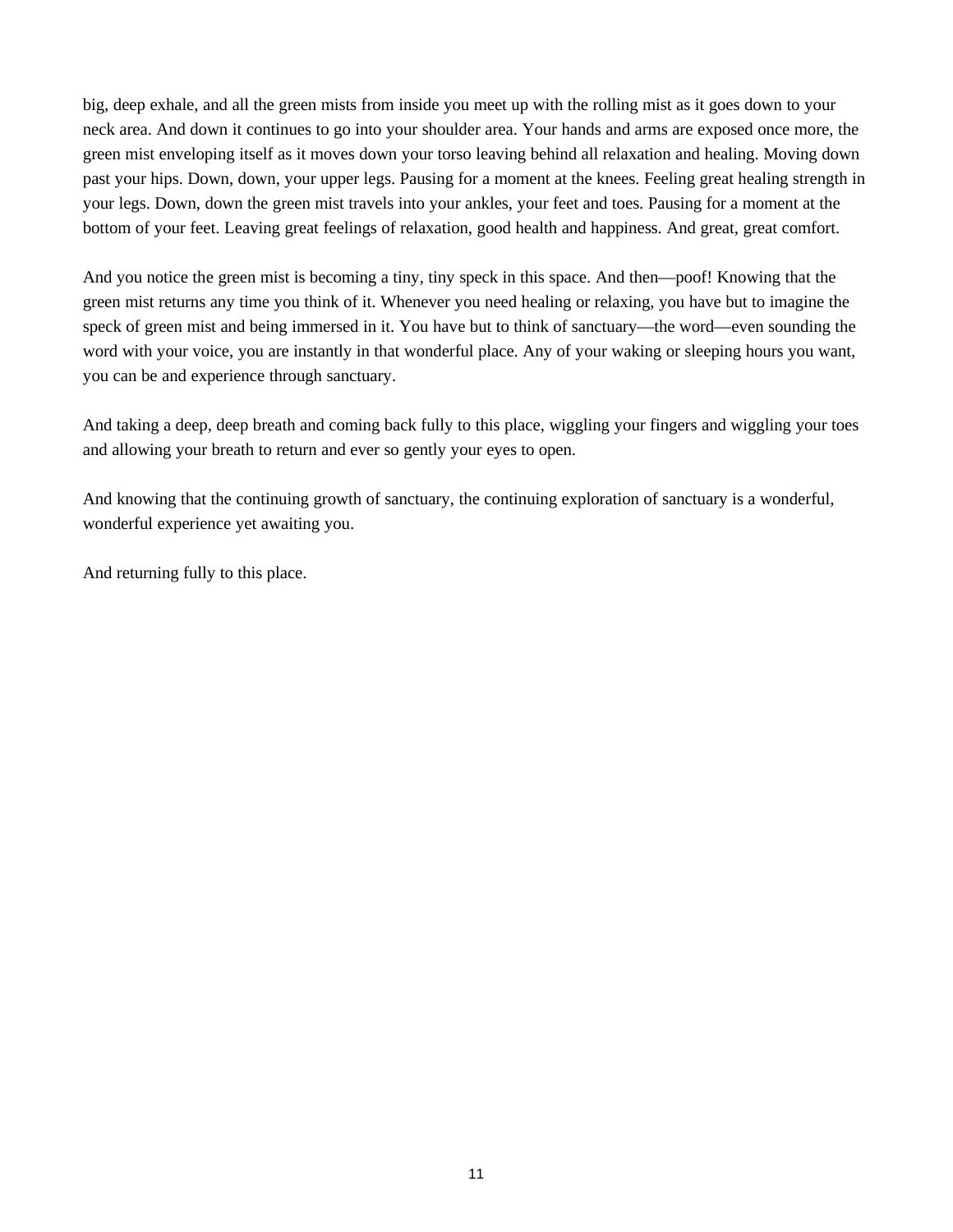big, deep exhale, and all the green mists from inside you meet up with the rolling mist as it goes down to your neck area. And down it continues to go into your shoulder area. Your hands and arms are exposed once more, the green mist enveloping itself as it moves down your torso leaving behind all relaxation and healing. Moving down past your hips. Down, down, your upper legs. Pausing for a moment at the knees. Feeling great healing strength in your legs. Down, down the green mist travels into your ankles, your feet and toes. Pausing for a moment at the bottom of your feet. Leaving great feelings of relaxation, good health and happiness. And great, great comfort.

And you notice the green mist is becoming a tiny, tiny speck in this space. And then— poof! Knowing that the green mist returns any time you think of it. Whenever you need healing or relaxing, you have but to imagine the speck of green mist and being immersed in it. You have but to think of sanctuary—the word—even sounding the word with your voice, you are instantly in that wonderful place. Any of your waking or sleeping hours you want, you can be and experience through sanctuary.

And taking a deep, deep breath and coming back fully to this place, wiggling your fingers and wiggling your toes and allowing your breath to return and ever so gently your eyes to open.

And knowing that the continuing growth of sanctuary, the continuing exploration of sanctuary is a wonderful, wonderful experience yet awaiting you.

And returning fully to this place.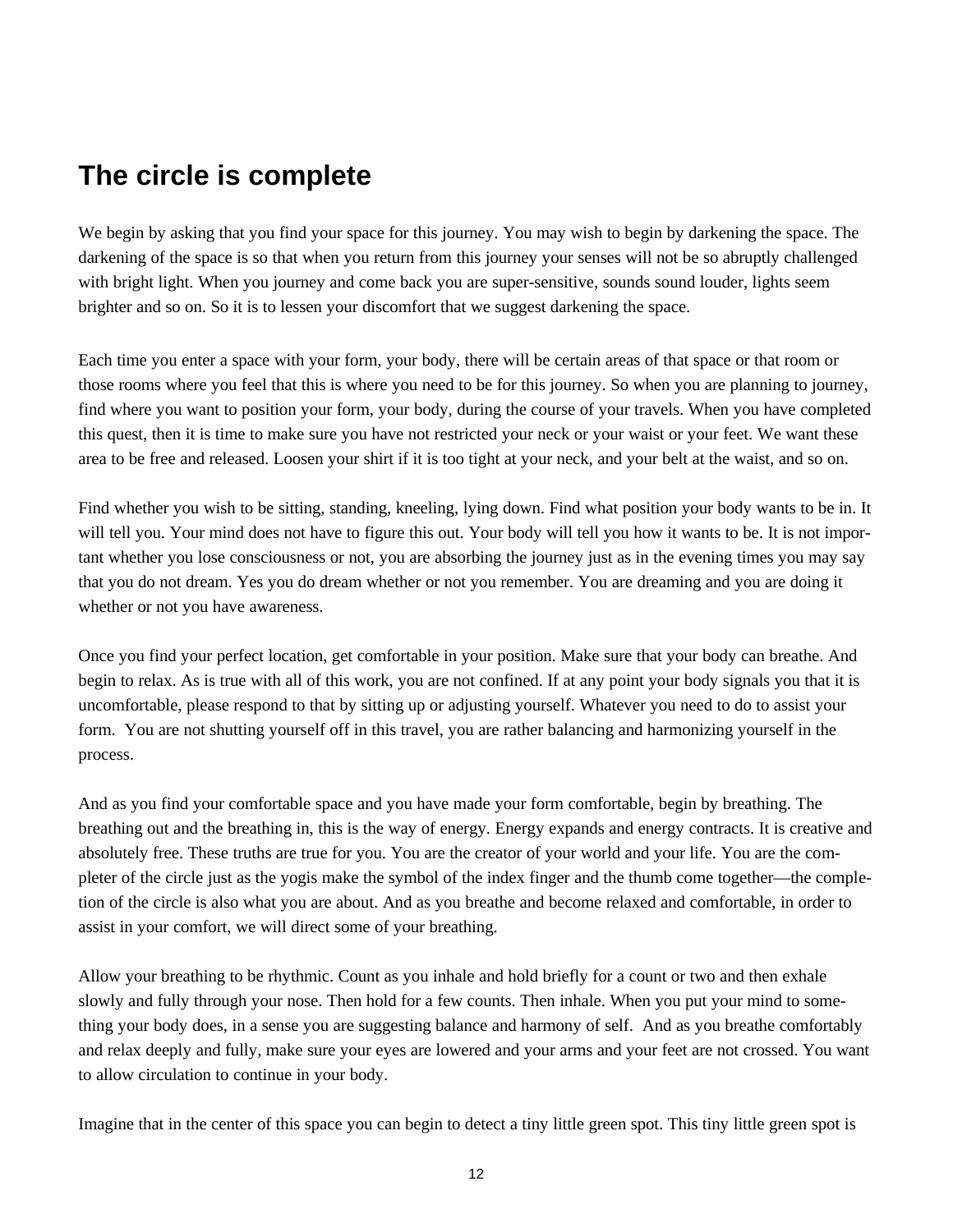# **The circle is complete**

We begin by asking that you find your space for this journey. You may wish to begin by darkening the space. The darkening of the space is so that when you return from this journey your senses will not be so abruptly challenged with bright light. When you journey and come back you are super-sensitive, sounds sound louder, lights seem brighter and so on. So it is to lessen your discomfort that we suggest darkening the space.

Each time you enter a space with your form, your body, there will be certain areas of that space or that room or those rooms where you feel that this is where you need to be for this journey. So when you are planning to journey, find where you want to position your form, your body, during the course of your travels. When you have completed this quest, then it is time to make sure you have not restricted your neck or your waist or your feet. We want these area to be free and released. Loosen your shirt if it is too tight at your neck, and your belt at the waist, and so on.

Find whether you wish to be sitting, standing, kneeling, lying down. Find what position your body wants to be in. It will tell you. Your mind does not have to figure this out. Your body will tell you how it wants to be. It is not important whether you lose consciousness or not, you are absorbing the journey just as in the evening times you may say that you do not dream. Yes you do dream whether or not you remember. You are dreaming and you are doing it whether or not you have awareness.

Once you find your perfect location, get comfortable in your position. Make sure that your body can breathe. And begin to relax. As is true with all of this work, you are not confined. If at any point your body signals you that it is uncomfortable, please respond to that by sitting up or adjusting yourself. Whatever you need to do to assist your form. You are not shutting yourself off in this travel, you are rather balancing and harmonizing yourself in the process.

And as you find your comfortable space and you have made your form comfortable, begin by breathing. The breathing out and the breathing in, this is the way of energy. Energy expands and energy contracts. It is creative and absolutely free. These truths are true for you. You are the creator of your world and your life. You are the completer of the circle just as the yogis make the symbol of the index finger and the thumb come together— the completion of the circle is also what you are about. And as you breathe and become relaxed and comfortable, in order to assist in your comfort, we will direct some of your breathing.

Allow your breathing to be rhythmic. Count as you inhale and hold briefly for a count or two and then exhale slowly and fully through your nose. Then hold for a few counts. Then inhale. When you put your mind to something your body does, in a sense you are suggesting balance and harmony of self. And as you breathe comfortably and relax deeply and fully, make sure your eyes are lowered and your arms and your feet are not crossed. You want to allow circulation to continue in your body.

Imagine that in the center of this space you can begin to detect a tiny little green spot. This tiny little green spot is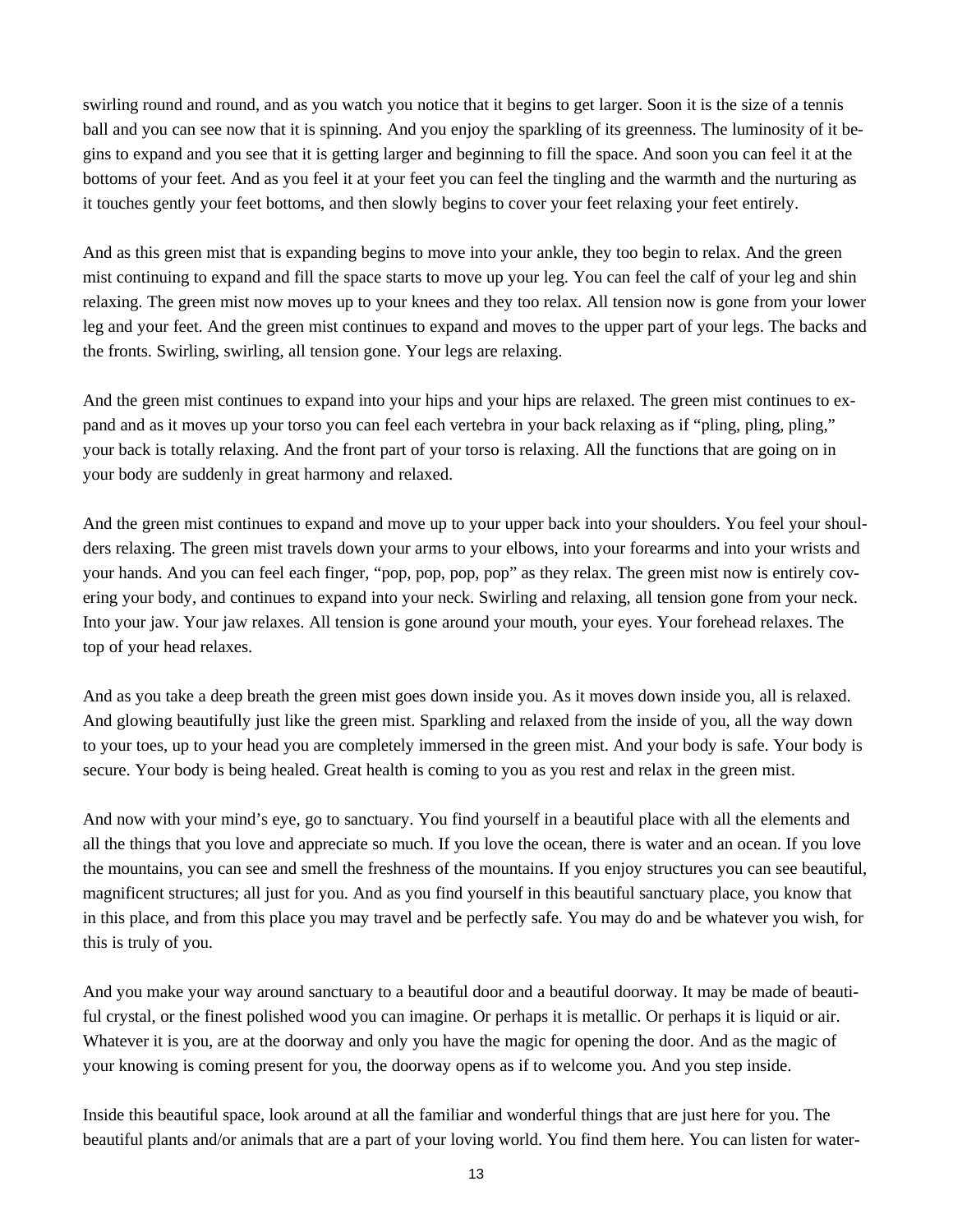swirling round and round, and as you watch you notice that it begins to get larger. Soon it is the size of a tennis ball and you can see now that it is spinning. And you enjoy the sparkling of its greenness. The luminosity of it begins to expand and you see that it is getting larger and beginning to fill the space. And soon you can feel it at the bottoms of your feet. And as you feel it at your feet you can feel the tingling and the warmth and the nurturing as it touches gently your feet bottoms, and then slowly begins to cover your feet relaxing your feet entirely.

And as this green mist that is expanding begins to move into your ankle, they too begin to relax. And the green mist continuing to expand and fill the space starts to move up your leg. You can feel the calf of your leg and shin relaxing. The green mist now moves up to your knees and they too relax. All tension now is gone from your lower leg and your feet. And the green mist continues to expand and moves to the upper part of your legs. The backs and the fronts. Swirling, swirling, all tension gone. Your legs are relaxing.

And the green mist continues to expand into your hips and your hips are relaxed. The green mist continues to expand and as it moves up your torso you can feel each vertebra in your back relaxing as if "pling, pling, pling," your back is totally relaxing. And the front part of your torso is relaxing. All the functions that are going on in your body are suddenly in great harmony and relaxed.

And the green mist continues to expand and move up to your upper back into your shoulders. You feel your shoulders relaxing. The green mist travels down your arms to your elbows, into your forearms and into your wrists and your hands. And you can feel each finger, "pop, pop, pop, pop" as they relax. The green mist now is entirely covering your body, and continues to expand into your neck. Swirling and relaxing, all tension gone from your neck. Into your jaw. Your jaw relaxes. All tension is gone around your mouth, your eyes. Your forehead relaxes. The top of your head relaxes.

And as you take a deep breath the green mist goes down inside you. As it moves down inside you, all is relaxed. And glowing beautifully just like the green mist. Sparkling and relaxed from the inside of you, all the way down to your toes, up to your head you are completely immersed in the green mist. And your body is safe. Your body is secure. Your body is being healed. Great health is coming to you as you rest and relax in the green mist.

And now with your mind's eye, go to sanctuary. You find yourself in a beautiful place with all the elements and all the things that you love and appreciate so much. If you love the ocean, there is water and an ocean. If you love the mountains, you can see and smell the freshness of the mountains. If you enjoy structures you can see beautiful, magnificent structures; all just for you. And as you find yourself in this beautiful sanctuary place, you know that in this place, and from this place you may travel and be perfectly safe. You may do and be whatever you wish, for this is truly of you.

And you make your way around sanctuary to a beautiful door and a beautiful doorway. It may be made of beautiful crystal, or the finest polished wood you can imagine. Or perhaps it is metallic. Or perhaps it is liquid or air. Whatever it is you, are at the doorway and only you have the magic for opening the door. And as the magic of your knowing is coming present for you, the doorway opens as if to welcome you. And you step inside.

Inside this beautiful space, look around at all the familiar and wonderful things that are just here for you. The beautiful plants and/or animals that are a part of your loving world. You find them here. You can listen for water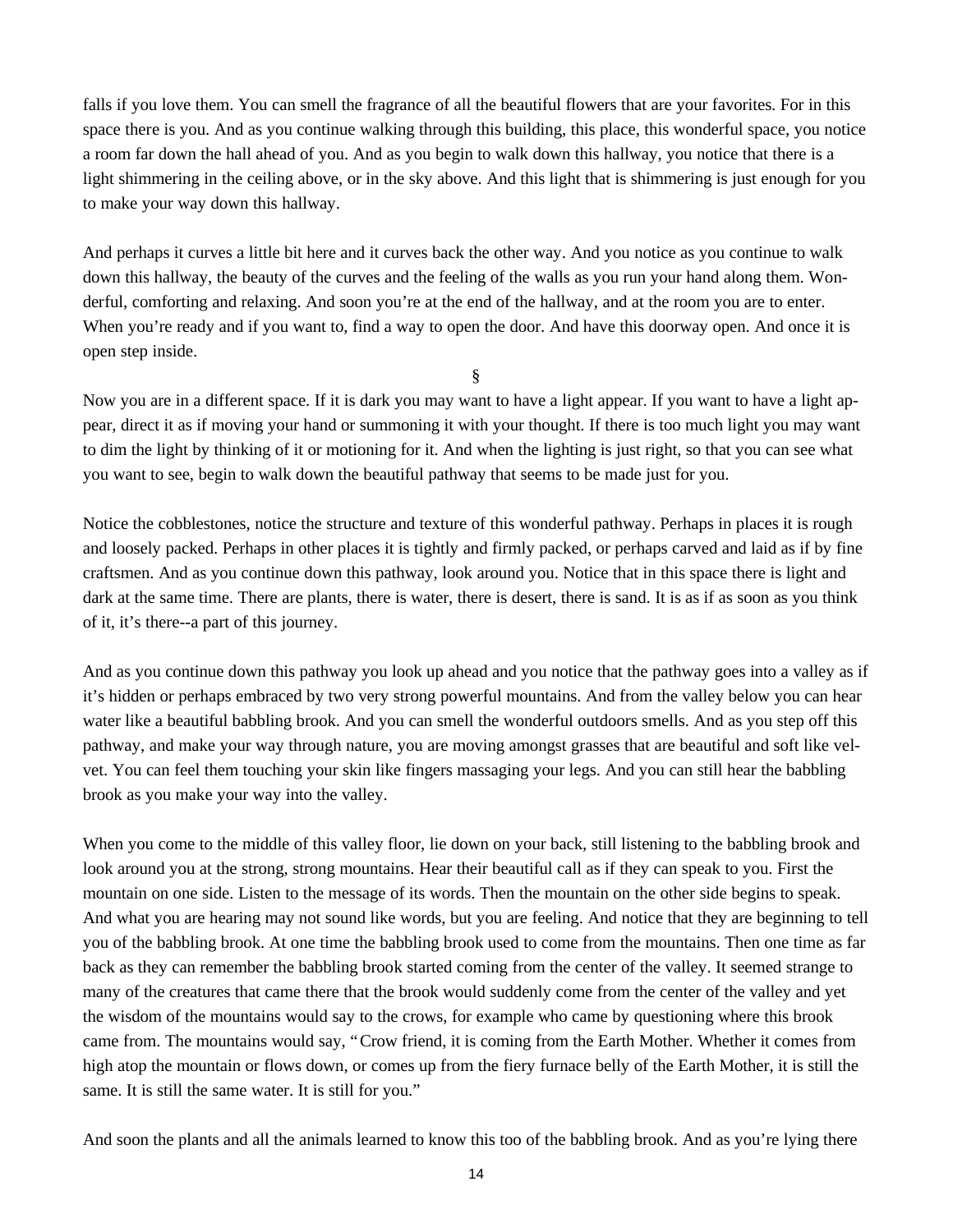falls if you love them. You can smell the fragrance of all the beautiful flowers that are your favorites. For in this space there is you. And as you continue walking through this building, this place, this wonderful space, you notice a room far down the hall ahead of you. And as you begin to walk down this hallway, you notice that there is a light shimmering in the ceiling above, or in the sky above. And this light that is shimmering is just enough for you to make your way down this hallway.

And perhaps it curves a little bit here and it curves back the other way. And you notice as you continue to walk down this hallway, the beauty of the curves and the feeling of the walls as you run your hand along them. Wonderful, comforting and relaxing. And soon you're at the end of the hallway, and at the room you are to enter. When you're ready and if you want to, find a way to open the door. And have this doorway open. And once it is open step inside.

§

Now you are in a different space. If it is dark you may want to have a light appear. If you want to have a light appear, direct it as if moving your hand or summoning it with your thought. If there is too much light you may want to dim the light by thinking of it or motioning for it. And when the lighting is just right, so that you can see what you want to see, begin to walk down the beautiful pathway that seems to be made just for you.

Notice the cobblestones, notice the structure and texture of this wonderful pathway. Perhaps in places it is rough and loosely packed. Perhaps in other places it is tightly and firmly packed, or perhaps carved and laid as if by fine craftsmen. And as you continue down this pathway, look around you. Notice that in this space there is light and dark at the same time. There are plants, there is water, there is desert, there is sand. It is as if as soon as you think of it, it's there--a part of this journey.

And as you continue down this pathway you look up ahead and you notice that the pathway goes into a valley as if it's hidden or perhaps embraced by two very strong powerful mountains. And from the valley below you can hear water like a beautiful babbling brook. And you can smell the wonderful outdoors smells. And as you step off this pathway, and make your way through nature, you are moving amongst grasses that are beautiful and soft like velvet. You can feel them touching your skin like fingers massaging your legs. And you can still hear the babbling brook as you make your way into the valley.

When you come to the middle of this valley floor, lie down on your back, still listening to the babbling brook and look around you at the strong, strong mountains. Hear their beautiful call as if they can speak to you. First the mountain on one side. Listen to the message of its words. Then the mountain on the other side begins to speak. And what you are hearing may not sound like words, but you are feeling. And notice that they are beginning to tell you of the babbling brook. At one time the babbling brook used to come from the mountains. Then one time as far back as they can remember the babbling brook started coming from the center of the valley. It seemed strange to many of the creatures that came there that the brook would suddenly come from the center of the valley and yet the wisdom of the mountains would say to the crows, for example who came by questioning where this brook came from. The mountains would say, "Crow friend, it is coming from the Earth Mother. Whether it comes from high atop the mountain or flows down, or comes up from the fiery furnace belly of the Earth Mother, it is still the same. It is still the same water. It is still for you."

And soon the plants and all the animals learned to know this too of the babbling brook. And as you're lying there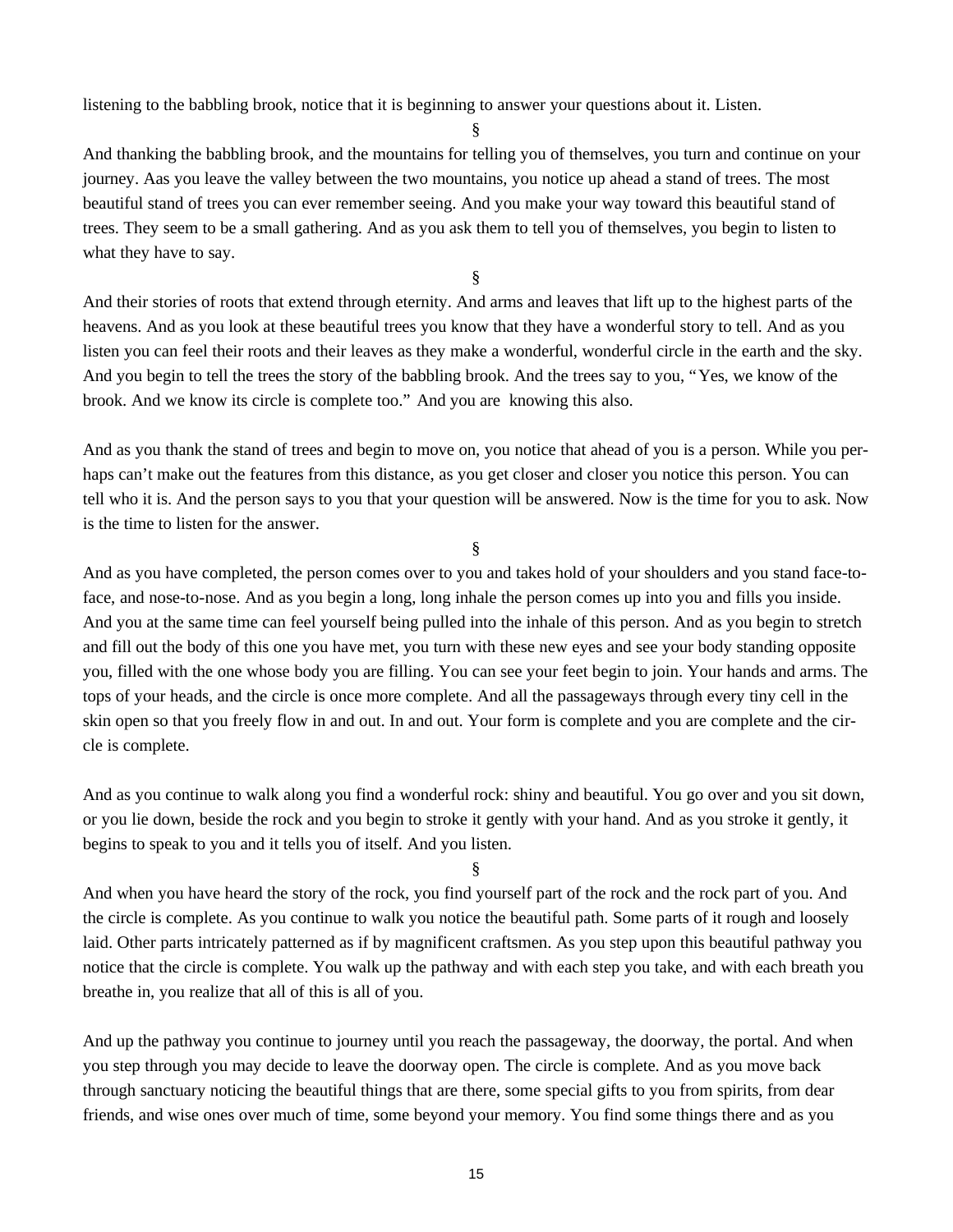listening to the babbling brook, notice that it is beginning to answer your questions about it. Listen.

§

And thanking the babbling brook, and the mountains for telling you of themselves, you turn and continue on your journey. Aas you leave the valley between the two mountains, you notice up ahead a stand of trees. The most beautiful stand of trees you can ever remember seeing. And you make your way toward this beautiful stand of trees. They seem to be a small gathering. And as you ask them to tell you of themselves, you begin to listen to what they have to say.

§

And their stories of roots that extend through eternity. And arms and leaves that lift up to the highest parts of the heavens. And as you look at these beautiful trees you know that they have a wonderful story to tell. And as you listen you can feel their roots and their leaves as they make a wonderful, wonderful circle in the earth and the sky. And you begin to tell the trees the story of the babbling brook. And the trees say to you, "Yes, we know of the brook. And we know its circle is complete too." And you are knowing this also.

And as you thank the stand of trees and begin to move on, you notice that ahead of you is a person. While you perhaps can't make out the features from this distance, as you get closer and closer you notice this person. You can tell who it is. And the person says to you that your question will be answered. Now is the time for you to ask. Now is the time to listen for the answer.

§

And as you have completed, the person comes over to you and takes hold of your shoulders and you stand face-toface, and nose-to-nose. And as you begin a long, long inhale the person comes up into you and fills you inside. And you at the same time can feel yourself being pulled into the inhale of this person. And as you begin to stretch and fill out the body of this one you have met, you turn with these new eyes and see your body standing opposite you, filled with the one whose body you are filling. You can see your feet begin to join. Your hands and arms. The tops of your heads, and the circle is once more complete. And all the passageways through every tiny cell in the skin open so that you freely flow in and out. In and out. Your form is complete and you are complete and the circle is complete.

And as you continue to walk along you find a wonderful rock: shiny and beautiful. You go over and you sit down, or you lie down, beside the rock and you begin to stroke it gently with your hand. And as you stroke it gently, it begins to speak to you and it tells you of itself. And you listen.

§

And when you have heard the story of the rock, you find yourself part of the rock and the rock part of you. And the circle is complete. As you continue to walk you notice the beautiful path. Some parts of it rough and loosely laid. Other parts intricately patterned as if by magnificent craftsmen. As you step upon this beautiful pathway you notice that the circle is complete. You walk up the pathway and with each step you take, and with each breath you breathe in, you realize that all of this is all of you.

And up the pathway you continue to journey until you reach the passageway, the doorway, the portal. And when you step through you may decide to leave the doorway open. The circle is complete. And as you move back through sanctuary noticing the beautiful things that are there, some special gifts to you from spirits, from dear friends, and wise ones over much of time, some beyond your memory. You find some things there and as you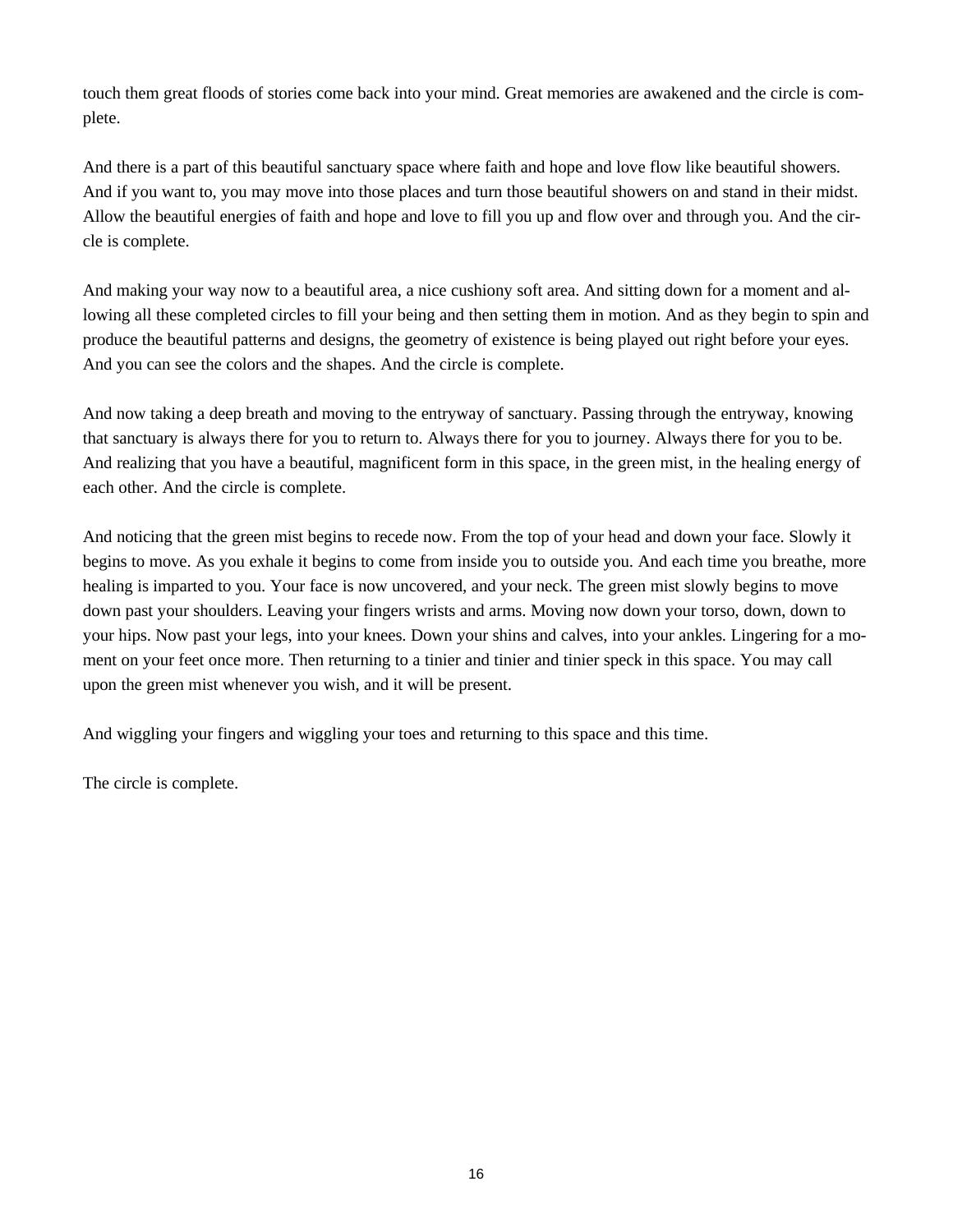touch them great floods of stories come back into your mind. Great memories are awakened and the circle is complete.

And there is a part of this beautiful sanctuary space where faith and hope and love flow like beautiful showers. And if you want to, you may move into those places and turn those beautiful showers on and stand in their midst. Allow the beautiful energies of faith and hope and love to fill you up and flow over and through you. And the circle is complete.

And making your way now to a beautiful area, a nice cushiony soft area. And sitting down for a moment and allowing all these completed circles to fill your being and then setting them in motion. And as they begin to spin and produce the beautiful patterns and designs, the geometry of existence is being played out right before your eyes. And you can see the colors and the shapes. And the circle is complete.

And now taking a deep breath and moving to the entryway of sanctuary. Passing through the entryway, knowing that sanctuary is always there for you to return to. Always there for you to journey. Always there for you to be. And realizing that you have a beautiful, magnificent form in this space, in the green mist, in the healing energy of each other. And the circle is complete.

And noticing that the green mist begins to recede now. From the top of your head and down your face. Slowly it begins to move. As you exhale it begins to come from inside you to outside you. And each time you breathe, more healing is imparted to you. Your face is now uncovered, and your neck. The green mist slowly begins to move down past your shoulders. Leaving your fingers wrists and arms. Moving now down your torso, down, down to your hips. Now past your legs, into your knees. Down your shins and calves, into your ankles. Lingering for a moment on your feet once more. Then returning to a tinier and tinier and tinier speck in this space. You may call upon the green mist whenever you wish, and it will be present.

And wiggling your fingers and wiggling your toes and returning to this space and this time.

The circle is complete.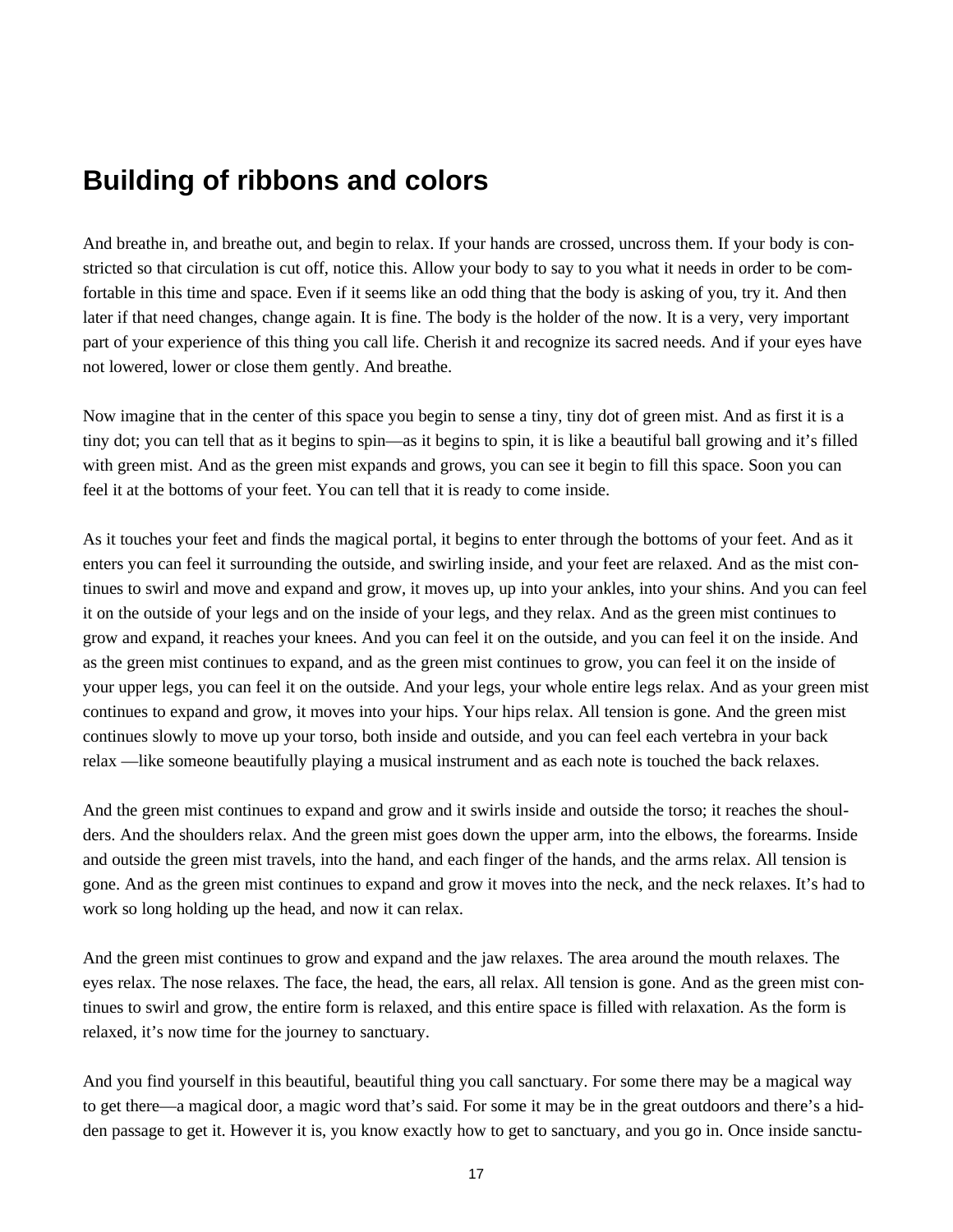# **Building of ribbons and colors**

And breathe in, and breathe out, and begin to relax. If your hands are crossed, uncross them. If your body is constricted so that circulation is cut off, notice this. Allow your body to say to you what it needs in order to be comfortable in this time and space. Even if it seems like an odd thing that the body is asking of you, try it. And then later if that need changes, change again. It is fine. The body is the holder of the now. It is a very, very important part of your experience of this thing you call life. Cherish it and recognize its sacred needs. And if your eyes have not lowered, lower or close them gently. And breathe.

Now imagine that in the center of this space you begin to sense a tiny, tiny dot of green mist. And as first it is a tiny dot; you can tell that as it begins to spin— as it begins to spin, it is like a beautiful ball growing and it's filled with green mist. And as the green mist expands and grows, you can see it begin to fill this space. Soon you can feel it at the bottoms of your feet. You can tell that it is ready to come inside.

As it touches your feet and finds the magical portal, it begins to enter through the bottoms of your feet. And as it enters you can feel it surrounding the outside, and swirling inside, and your feet are relaxed. And as the mist continues to swirl and move and expand and grow, it moves up, up into your ankles, into your shins. And you can feel it on the outside of your legs and on the inside of your legs, and they relax. And as the green mist continues to grow and expand, it reaches your knees. And you can feel it on the outside, and you can feel it on the inside. And as the green mist continues to expand, and as the green mist continues to grow, you can feel it on the inside of your upper legs, you can feel it on the outside. And your legs, your whole entire legs relax. And as your green mist continues to expand and grow, it moves into your hips. Your hips relax. All tension is gone. And the green mist continues slowly to move up your torso, both inside and outside, and you can feel each vertebra in your back relax — like someone beautifully playing a musical instrument and as each note is touched the back relaxes.

And the green mist continues to expand and grow and it swirls inside and outside the torso; it reaches the shoulders. And the shoulders relax. And the green mist goes down the upper arm, into the elbows, the forearms. Inside and outside the green mist travels, into the hand, and each finger of the hands, and the arms relax. All tension is gone. And as the green mist continues to expand and grow it moves into the neck, and the neck relaxes. It's had to work so long holding up the head, and now it can relax.

And the green mist continues to grow and expand and the jaw relaxes. The area around the mouth relaxes. The eyes relax. The nose relaxes. The face, the head, the ears, all relax. All tension is gone. And as the green mist continues to swirl and grow, the entire form is relaxed, and this entire space is filled with relaxation. As the form is relaxed, it's now time for the journey to sanctuary.

And you find yourself in this beautiful, beautiful thing you call sanctuary. For some there may be a magical way to get there— a magical door, a magic word that's said. For some it may be in the great outdoors and there's a hidden passage to get it. However it is, you know exactly how to get to sanctuary, and you go in. Once inside sanctu-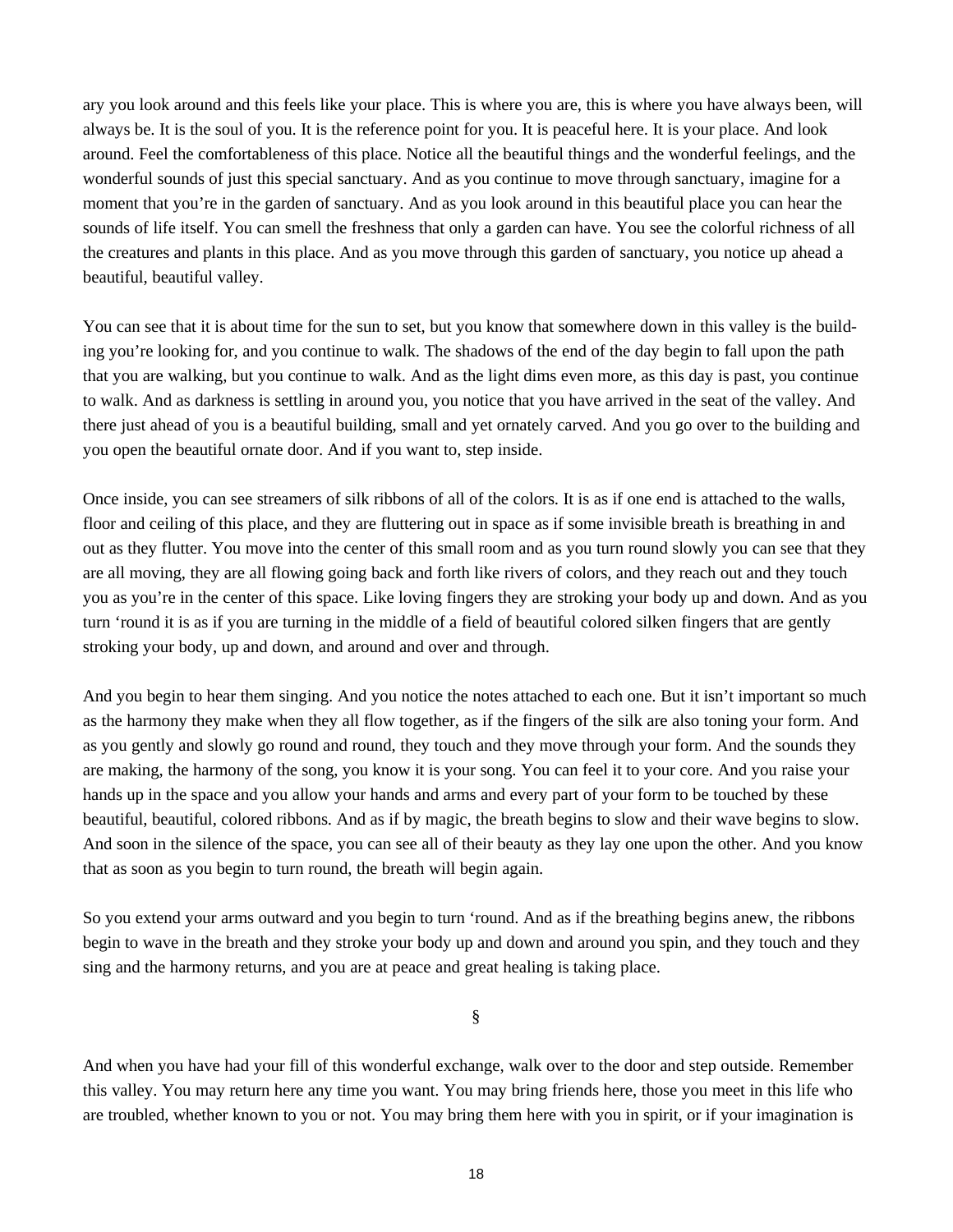ary you look around and this feels like your place. This is where you are, this is where you have always been, will always be. It is the soul of you. It is the reference point for you. It is peaceful here. It is your place. And look around. Feel the comfortableness of this place. Notice all the beautiful things and the wonderful feelings, and the wonderful sounds of just this special sanctuary. And as you continue to move through sanctuary, imagine for a moment that you're in the garden of sanctuary. And as you look around in this beautiful place you can hear the sounds of life itself. You can smell the freshness that only a garden can have. You see the colorful richness of all the creatures and plants in this place. And as you move through this garden of sanctuary, you notice up ahead a beautiful, beautiful valley.

You can see that it is about time for the sun to set, but you know that somewhere down in this valley is the building you're looking for, and you continue to walk. The shadows of the end of the day begin to fall upon the path that you are walking, but you continue to walk. And as the light dims even more, as this day is past, you continue to walk. And as darkness is settling in around you, you notice that you have arrived in the seat of the valley. And there just ahead of you is a beautiful building, small and yet ornately carved. And you go over to the building and you open the beautiful ornate door. And if you want to, step inside.

Once inside, you can see streamers of silk ribbons of all of the colors. It is as if one end is attached to the walls, floor and ceiling of this place, and they are fluttering out in space as if some invisible breath is breathing in and out as they flutter. You move into the center of this small room and as you turn round slowly you can see that they are all moving, they are all flowing going back and forth like rivers of colors, and they reach out and they touch you as you're in the center of this space. Like loving fingers they are stroking your body up and down. And as you turn 'round it is as if you are turning in the middle of a field of beautiful colored silken fingers that are gently stroking your body, up and down, and around and over and through.

And you begin to hear them singing. And you notice the notes attached to each one. But it isn't important so much as the harmony they make when they all flow together, as if the fingers of the silk are also toning your form. And as you gently and slowly go round and round, they touch and they move through your form. And the sounds they are making, the harmony of the song, you know it is your song. You can feel it to your core. And you raise your hands up in the space and you allow your hands and arms and every part of your form to be touched by these beautiful, beautiful, colored ribbons. And as if by magic, the breath begins to slow and their wave begins to slow. And soon in the silence of the space, you can see all of their beauty as they lay one upon the other. And you know that as soon as you begin to turn round, the breath will begin again.

So you extend your arms outward and you begin to turn 'round. And as if the breathing begins anew, the ribbons begin to wave in the breath and they stroke your body up and down and around you spin, and they touch and they sing and the harmony returns, and you are at peace and great healing is taking place.

§

And when you have had your fill of this wonderful exchange, walk over to the door and step outside. Remember this valley. You may return here any time you want. You may bring friends here, those you meet in this life who are troubled, whether known to you or not. You may bring them here with you in spirit, or if your imagination is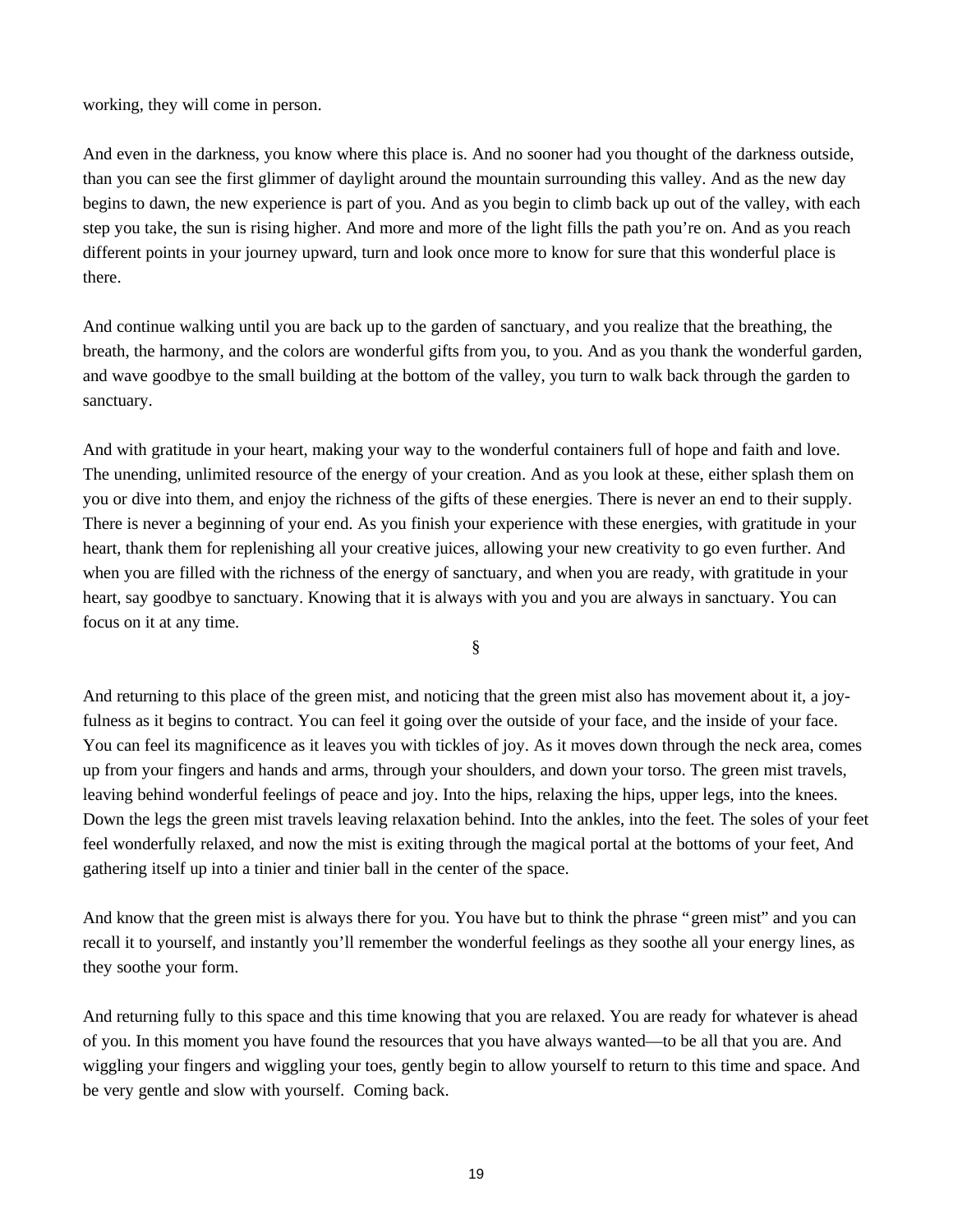working, they will come in person.

And even in the darkness, you know where this place is. And no sooner had you thought of the darkness outside, than you can see the first glimmer of daylight around the mountain surrounding this valley. And as the new day begins to dawn, the new experience is part of you. And as you begin to climb back up out of the valley, with each step you take, the sun is rising higher. And more and more of the light fills the path you're on. And as you reach different points in your journey upward, turn and look once more to know for sure that this wonderful place is there.

And continue walking until you are back up to the garden of sanctuary, and you realize that the breathing, the breath, the harmony, and the colors are wonderful gifts from you, to you. And as you thank the wonderful garden, and wave goodbye to the small building at the bottom of the valley, you turn to walk back through the garden to sanctuary.

And with gratitude in your heart, making your way to the wonderful containers full of hope and faith and love. The unending, unlimited resource of the energy of your creation. And as you look at these, either splash them on you or dive into them, and enjoy the richness of the gifts of these energies. There is never an end to their supply. There is never a beginning of your end. As you finish your experience with these energies, with gratitude in your heart, thank them for replenishing all your creative juices, allowing your new creativity to go even further. And when you are filled with the richness of the energy of sanctuary, and when you are ready, with gratitude in your heart, say goodbye to sanctuary. Knowing that it is always with you and you are always in sanctuary. You can focus on it at any time.

§

And returning to this place of the green mist, and noticing that the green mist also has movement about it, a joyfulness as it begins to contract. You can feel it going over the outside of your face, and the inside of your face. You can feel its magnificence as it leaves you with tickles of joy. As it moves down through the neck area, comes up from your fingers and hands and arms, through your shoulders, and down your torso. The green mist travels, leaving behind wonderful feelings of peace and joy. Into the hips, relaxing the hips, upper legs, into the knees. Down the legs the green mist travels leaving relaxation behind. Into the ankles, into the feet. The soles of your feet feel wonderfully relaxed, and now the mist is exiting through the magical portal at the bottoms of your feet, And gathering itself up into a tinier and tinier ball in the center of the space.

And know that the green mist is always there for you. You have but to think the phrase "green mist" and you can recall it to yourself, and instantly you'll remember the wonderful feelings as they soothe all your energy lines, as they soothe your form.

And returning fully to this space and this time knowing that you are relaxed. You are ready for whatever is ahead of you. In this moment you have found the resources that you have always wanted— to be all that you are. And wiggling your fingers and wiggling your toes, gently begin to allow yourself to return to this time and space. And be very gentle and slow with yourself. Coming back.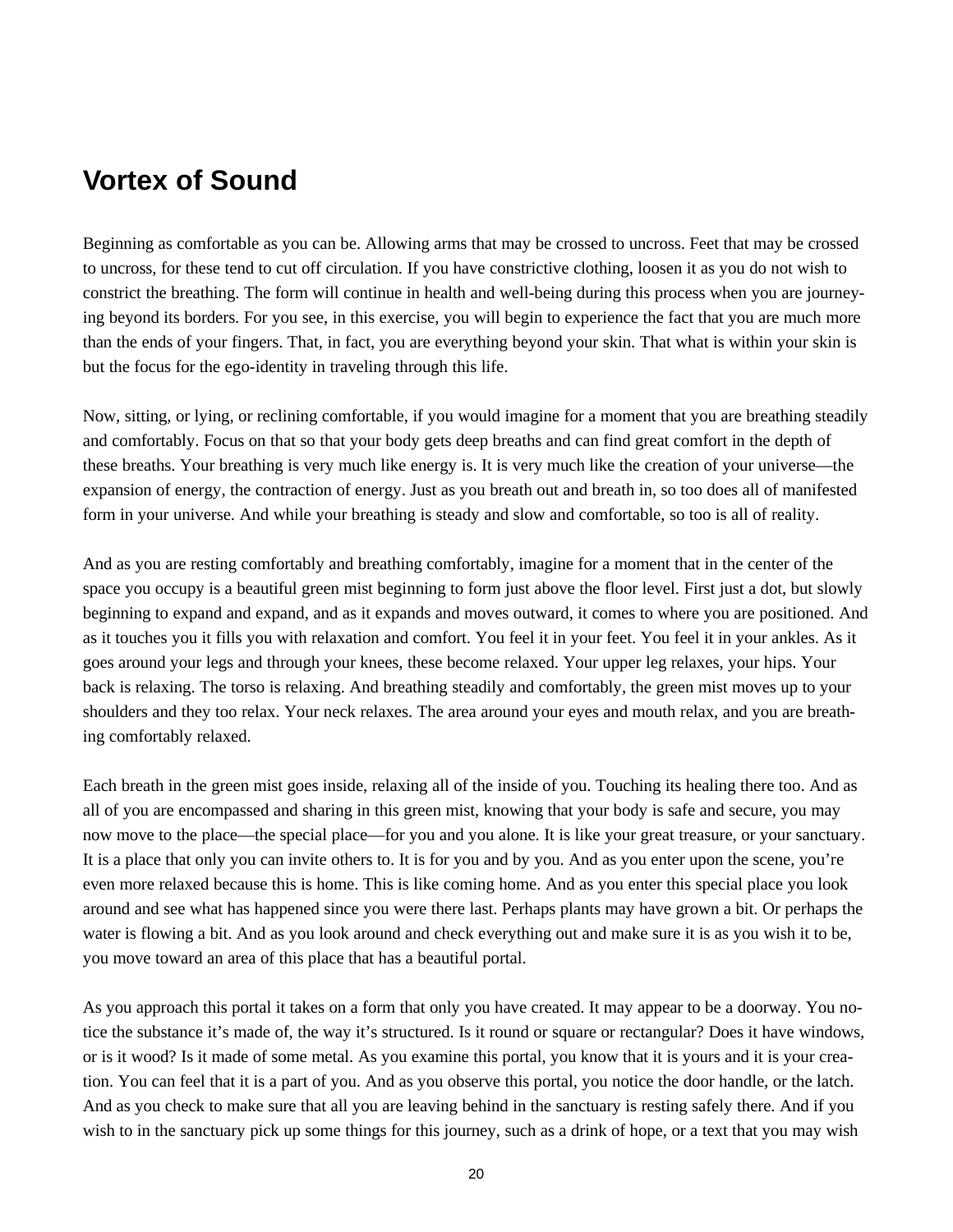## **Vortex of Sound**

Beginning as comfortable as you can be. Allowing arms that may be crossed to uncross. Feet that may be crossed to uncross, for these tend to cut off circulation. If you have constrictive clothing, loosen it as you do not wish to constrict the breathing. The form will continue in health and well-being during this process when you are journeying beyond its borders. For you see, in this exercise, you will begin to experience the fact that you are much more than the ends of your fingers. That, in fact, you are everything beyond your skin. That what is within your skin is but the focus for the ego-identity in traveling through this life.

Now, sitting, or lying, or reclining comfortable, if you would imagine for a moment that you are breathing steadily and comfortably. Focus on that so that your body gets deep breaths and can find great comfort in the depth of these breaths. Your breathing is very much like energy is. It is very much like the creation of your universe— the expansion of energy, the contraction of energy. Just as you breath out and breath in, so too does all of manifested form in your universe. And while your breathing is steady and slow and comfortable, so too is all of reality.

And as you are resting comfortably and breathing comfortably, imagine for a moment that in the center of the space you occupy is a beautiful green mist beginning to form just above the floor level. First just a dot, but slowly beginning to expand and expand, and as it expands and moves outward, it comes to where you are positioned. And as it touches you it fills you with relaxation and comfort. You feel it in your feet. You feel it in your ankles. As it goes around your legs and through your knees, these become relaxed. Your upper leg relaxes, your hips. Your back is relaxing. The torso is relaxing. And breathing steadily and comfortably, the green mist moves up to your shoulders and they too relax. Your neck relaxes. The area around your eyes and mouth relax, and you are breathing comfortably relaxed.

Each breath in the green mist goes inside, relaxing all of the inside of you. Touching its healing there too. And as all of you are encompassed and sharing in this green mist, knowing that your body is safe and secure, you may now move to the place— the special place— for you and you alone. It is like your great treasure, or your sanctuary. It is a place that only you can invite others to. It is for you and by you. And as you enter upon the scene, you're even more relaxed because this is home. This is like coming home. And as you enter this special place you look around and see what has happened since you were there last. Perhaps plants may have grown a bit. Or perhaps the water is flowing a bit. And as you look around and check everything out and make sure it is as you wish it to be, you move toward an area of this place that has a beautiful portal.

As you approach this portal it takes on a form that only you have created. It may appear to be a doorway. You notice the substance it's made of, the way it's structured. Is it round or square or rectangular? Does it have windows, or is it wood? Is it made of some metal. As you examine this portal, you know that it is yours and it is your creation. You can feel that it is a part of you. And as you observe this portal, you notice the door handle, or the latch. And as you check to make sure that all you are leaving behind in the sanctuary is resting safely there. And if you wish to in the sanctuary pick up some things for this journey, such as a drink of hope, or a text that you may wish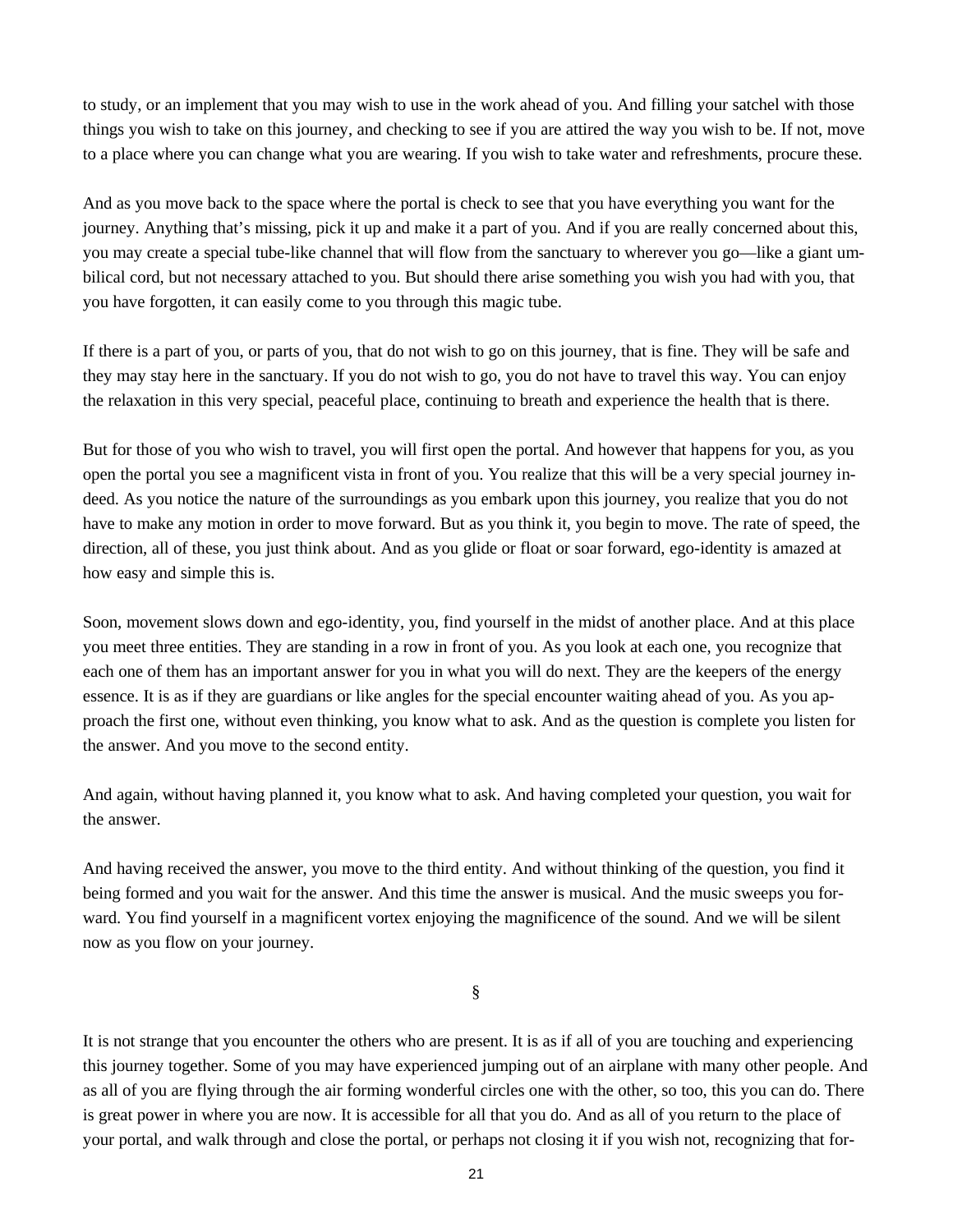to study, or an implement that you may wish to use in the work ahead of you. And filling your satchel with those things you wish to take on this journey, and checking to see if you are attired the way you wish to be. If not, move to a place where you can change what you are wearing. If you wish to take water and refreshments, procure these.

And as you move back to the space where the portal is check to see that you have everything you want for the journey. Anything that's missing, pick it up and make it a part of you. And if you are really concerned about this, you may create a special tube-like channel that will flow from the sanctuary to wherever you go—like a giant umbilical cord, but not necessary attached to you. But should there arise something you wish you had with you, that you have forgotten, it can easily come to you through this magic tube.

If there is a part of you, or parts of you, that do not wish to go on this journey, that is fine. They will be safe and they may stay here in the sanctuary. If you do not wish to go, you do not have to travel this way. You can enjoy the relaxation in this very special, peaceful place, continuing to breath and experience the health that is there.

But for those of you who wish to travel, you will first open the portal. And however that happens for you, as you open the portal you see a magnificent vista in front of you. You realize that this will be a very special journey indeed. As you notice the nature of the surroundings as you embark upon this journey, you realize that you do not have to make any motion in order to move forward. But as you think it, you begin to move. The rate of speed, the direction, all of these, you just think about. And as you glide or float or soar forward, ego-identity is amazed at how easy and simple this is.

Soon, movement slows down and ego-identity, you, find yourself in the midst of another place. And at this place you meet three entities. They are standing in a row in front of you. As you look at each one, you recognize that each one of them has an important answer for you in what you will do next. They are the keepers of the energy essence. It is as if they are guardians or like angles for the special encounter waiting ahead of you. As you approach the first one, without even thinking, you know what to ask. And as the question is complete you listen for the answer. And you move to the second entity.

And again, without having planned it, you know what to ask. And having completed your question, you wait for the answer.

And having received the answer, you move to the third entity. And without thinking of the question, you find it being formed and you wait for the answer. And this time the answer is musical. And the music sweeps you forward. You find yourself in a magnificent vortex enjoying the magnificence of the sound. And we will be silent now as you flow on your journey.

§

It is not strange that you encounter the others who are present. It is as if all of you are touching and experiencing this journey together. Some of you may have experienced jumping out of an airplane with many other people. And as all of you are flying through the air forming wonderful circles one with the other, so too, this you can do. There is great power in where you are now. It is accessible for all that you do. And as all of you return to the place of your portal, and walk through and close the portal, or perhaps not closing it if you wish not, recognizing that for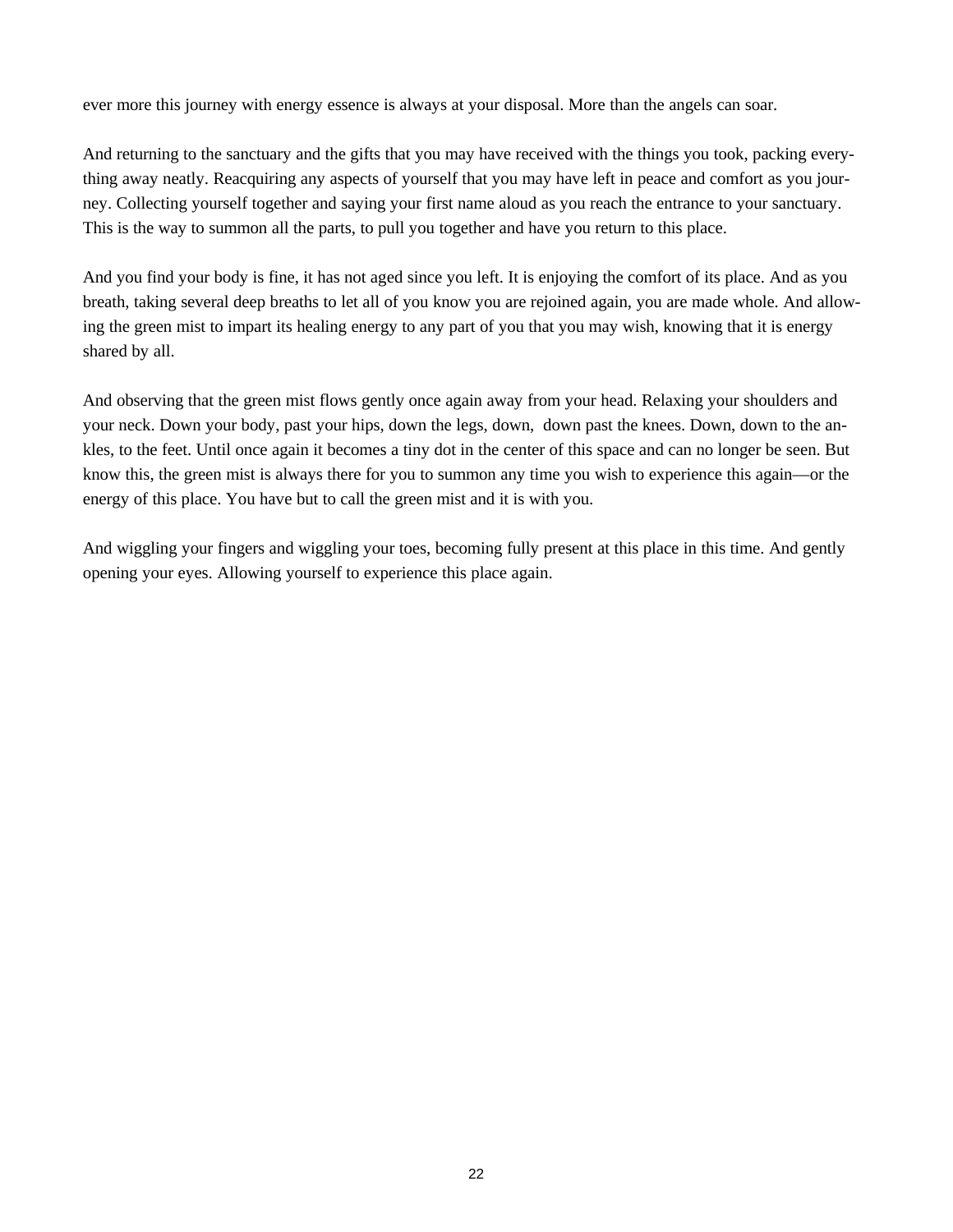ever more this journey with energy essence is always at your disposal. More than the angels can soar.

And returning to the sanctuary and the gifts that you may have received with the things you took, packing everything away neatly. Reacquiring any aspects of yourself that you may have left in peace and comfort as you journey. Collecting yourself together and saying your first name aloud as you reach the entrance to your sanctuary. This is the way to summon all the parts, to pull you together and have you return to this place.

And you find your body is fine, it has not aged since you left. It is enjoying the comfort of its place. And as you breath, taking several deep breaths to let all of you know you are rejoined again, you are made whole. And allowing the green mist to impart its healing energy to any part of you that you may wish, knowing that it is energy shared by all.

And observing that the green mist flows gently once again away from your head. Relaxing your shoulders and your neck. Down your body, past your hips, down the legs, down, down past the knees. Down, down to the ankles, to the feet. Until once again it becomes a tiny dot in the center of this space and can no longer be seen. But know this, the green mist is always there for you to summon any time you wish to experience this again— or the energy of this place. You have but to call the green mist and it is with you.

And wiggling your fingers and wiggling your toes, becoming fully present at this place in this time. And gently opening your eyes. Allowing yourself to experience this place again.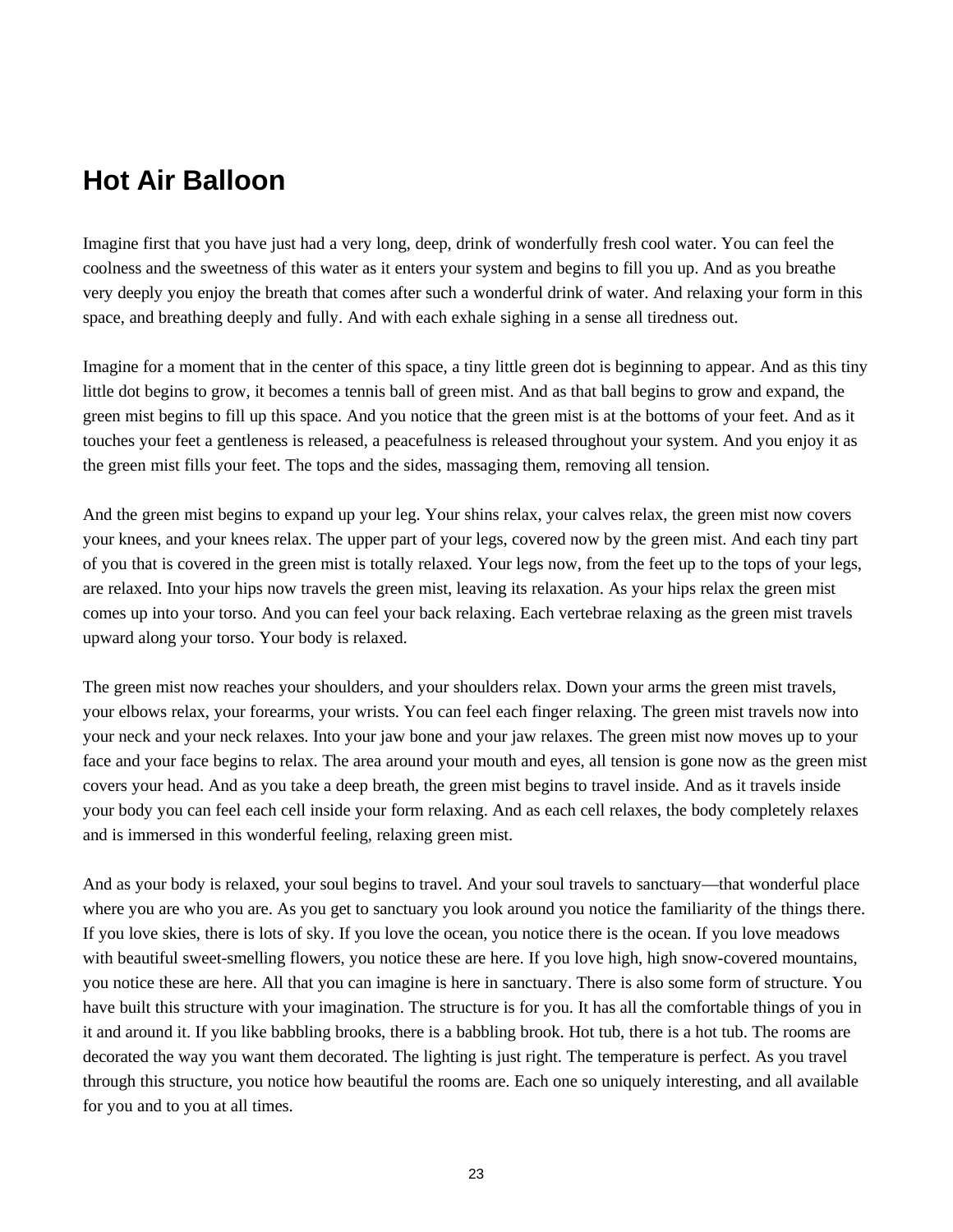# **Hot Air Balloon**

Imagine first that you have just had a very long, deep, drink of wonderfully fresh cool water. You can feel the coolness and the sweetness of this water as it enters your system and begins to fill you up. And as you breathe very deeply you enjoy the breath that comes after such a wonderful drink of water. And relaxing your form in this space, and breathing deeply and fully. And with each exhale sighing in a sense all tiredness out.

Imagine for a moment that in the center of this space, a tiny little green dot is beginning to appear. And as this tiny little dot begins to grow, it becomes a tennis ball of green mist. And as that ball begins to grow and expand, the green mist begins to fill up this space. And you notice that the green mist is at the bottoms of your feet. And as it touches your feet a gentleness is released, a peacefulness is released throughout your system. And you enjoy it as the green mist fills your feet. The tops and the sides, massaging them, removing all tension.

And the green mist begins to expand up your leg. Your shins relax, your calves relax, the green mist now covers your knees, and your knees relax. The upper part of your legs, covered now by the green mist. And each tiny part of you that is covered in the green mist is totally relaxed. Your legs now, from the feet up to the tops of your legs, are relaxed. Into your hips now travels the green mist, leaving its relaxation. As your hips relax the green mist comes up into your torso. And you can feel your back relaxing. Each vertebrae relaxing as the green mist travels upward along your torso. Your body is relaxed.

The green mist now reaches your shoulders, and your shoulders relax. Down your arms the green mist travels, your elbows relax, your forearms, your wrists. You can feel each finger relaxing. The green mist travels now into your neck and your neck relaxes. Into your jaw bone and your jaw relaxes. The green mist now moves up to your face and your face begins to relax. The area around your mouth and eyes, all tension is gone now as the green mist covers your head. And as you take a deep breath, the green mist begins to travel inside. And as it travels inside your body you can feel each cell inside your form relaxing. And as each cell relaxes, the body completely relaxes and is immersed in this wonderful feeling, relaxing green mist.

And as your body is relaxed, your soul begins to travel. And your soul travels to sanctuary— that wonderful place where you are who you are. As you get to sanctuary you look around you notice the familiarity of the things there. If you love skies, there is lots of sky. If you love the ocean, you notice there is the ocean. If you love meadows with beautiful sweet-smelling flowers, you notice these are here. If you love high, high snow-covered mountains, you notice these are here. All that you can imagine is here in sanctuary. There is also some form of structure. You have built this structure with your imagination. The structure is for you. It has all the comfortable things of you in it and around it. If you like babbling brooks, there is a babbling brook. Hot tub, there is a hot tub. The rooms are decorated the way you want them decorated. The lighting is just right. The temperature is perfect. As you travel through this structure, you notice how beautiful the rooms are. Each one so uniquely interesting, and all available for you and to you at all times.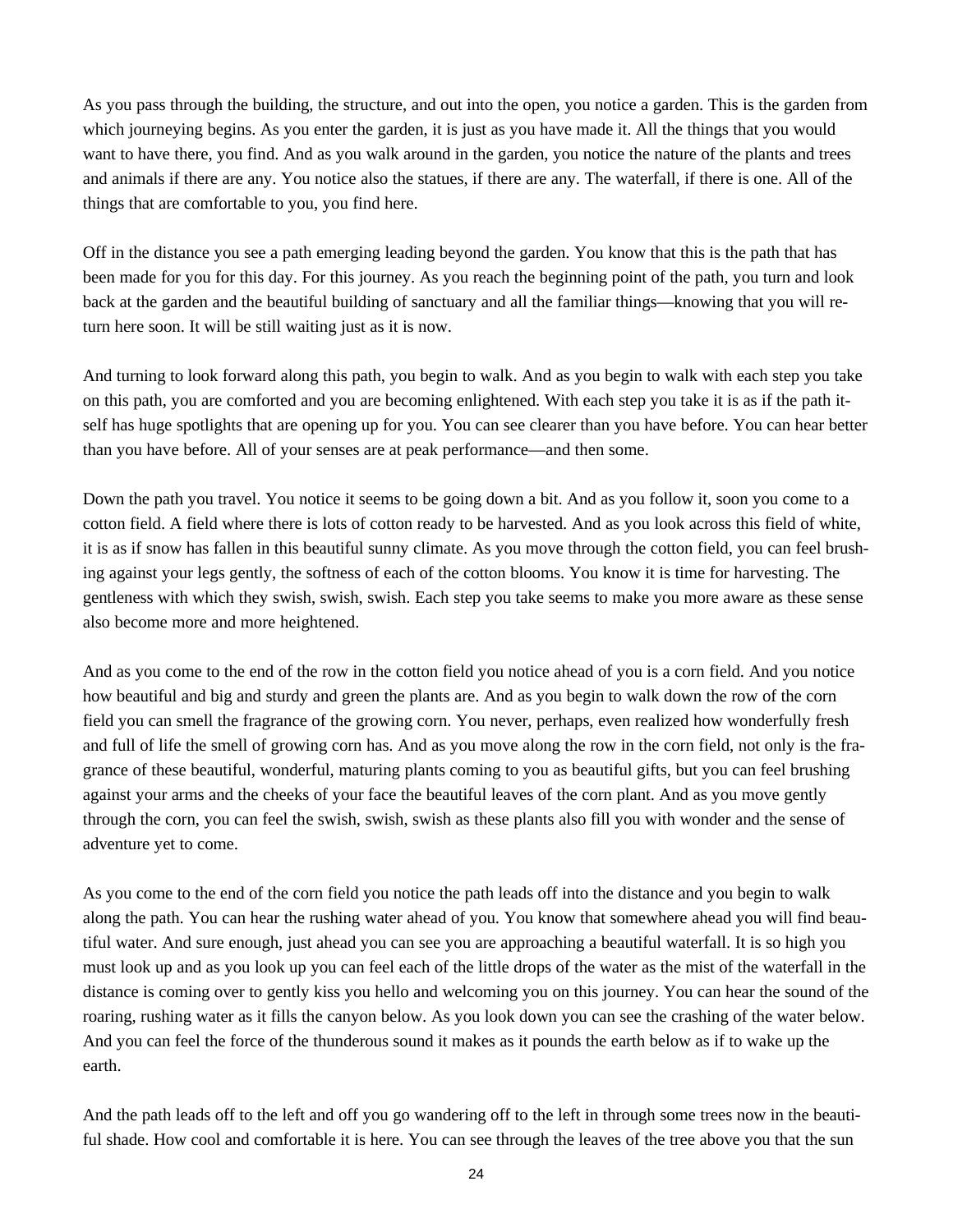As you pass through the building, the structure, and out into the open, you notice a garden. This is the garden from which journeying begins. As you enter the garden, it is just as you have made it. All the things that you would want to have there, you find. And as you walk around in the garden, you notice the nature of the plants and trees and animals if there are any. You notice also the statues, if there are any. The waterfall, if there is one. All of the things that are comfortable to you, you find here.

Off in the distance you see a path emerging leading beyond the garden. You know that this is the path that has been made for you for this day. For this journey. As you reach the beginning point of the path, you turn and look back at the garden and the beautiful building of sanctuary and all the familiar things— knowing that you will return here soon. It will be still waiting just as it is now.

And turning to look forward along this path, you begin to walk. And as you begin to walk with each step you take on this path, you are comforted and you are becoming enlightened. With each step you take it is as if the path itself has huge spotlights that are opening up for you. You can see clearer than you have before. You can hear better than you have before. All of your senses are at peak performance— and then some.

Down the path you travel. You notice it seems to be going down a bit. And as you follow it, soon you come to a cotton field. A field where there is lots of cotton ready to be harvested. And as you look across this field of white, it is as if snow has fallen in this beautiful sunny climate. As you move through the cotton field, you can feel brushing against your legs gently, the softness of each of the cotton blooms. You know it is time for harvesting. The gentleness with which they swish, swish, swish. Each step you take seems to make you more aware as these sense also become more and more heightened.

And as you come to the end of the row in the cotton field you notice ahead of you is a corn field. And you notice how beautiful and big and sturdy and green the plants are. And as you begin to walk down the row of the corn field you can smell the fragrance of the growing corn. You never, perhaps, even realized how wonderfully fresh and full of life the smell of growing corn has. And as you move along the row in the corn field, not only is the fragrance of these beautiful, wonderful, maturing plants coming to you as beautiful gifts, but you can feel brushing against your arms and the cheeks of your face the beautiful leaves of the corn plant. And as you move gently through the corn, you can feel the swish, swish, swish as these plants also fill you with wonder and the sense of adventure yet to come.

As you come to the end of the corn field you notice the path leads off into the distance and you begin to walk along the path. You can hear the rushing water ahead of you. You know that somewhere ahead you will find beautiful water. And sure enough, just ahead you can see you are approaching a beautiful waterfall. It is so high you must look up and as you look up you can feel each of the little drops of the water as the mist of the waterfall in the distance is coming over to gently kiss you hello and welcoming you on this journey. You can hear the sound of the roaring, rushing water as it fills the canyon below. As you look down you can see the crashing of the water below. And you can feel the force of the thunderous sound it makes as it pounds the earth below as if to wake up the earth.

And the path leads off to the left and off you go wandering off to the left in through some trees now in the beautiful shade. How cool and comfortable it is here. You can see through the leaves of the tree above you that the sun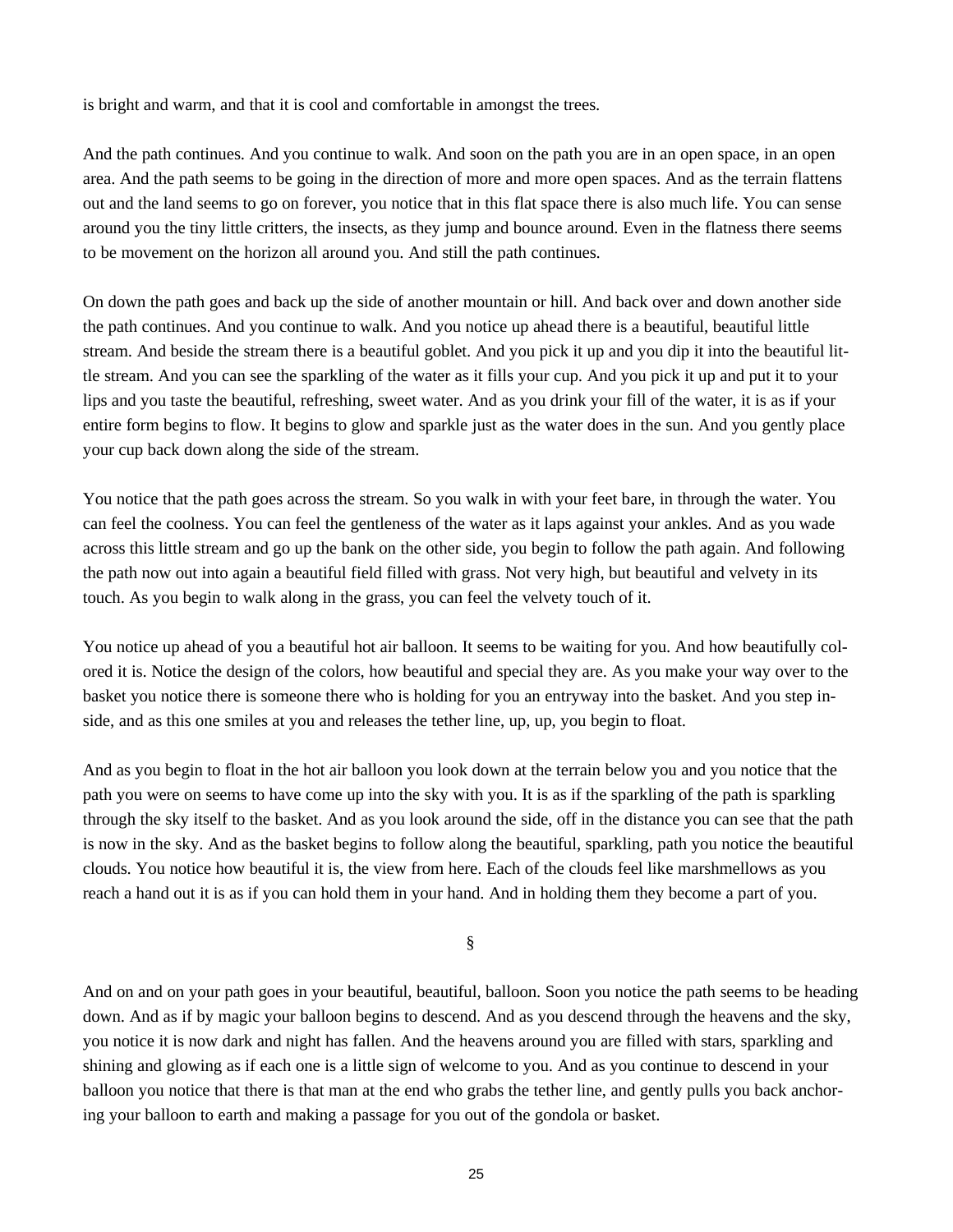is bright and warm, and that it is cool and comfortable in amongst the trees.

And the path continues. And you continue to walk. And soon on the path you are in an open space, in an open area. And the path seems to be going in the direction of more and more open spaces. And as the terrain flattens out and the land seems to go on forever, you notice that in this flat space there is also much life. You can sense around you the tiny little critters, the insects, as they jump and bounce around. Even in the flatness there seems to be movement on the horizon all around you. And still the path continues.

On down the path goes and back up the side of another mountain or hill. And back over and down another side the path continues. And you continue to walk. And you notice up ahead there is a beautiful, beautiful little stream. And beside the stream there is a beautiful goblet. And you pick it up and you dip it into the beautiful little stream. And you can see the sparkling of the water as it fills your cup. And you pick it up and put it to your lips and you taste the beautiful, refreshing, sweet water. And as you drink your fill of the water, it is as if your entire form begins to flow. It begins to glow and sparkle just as the water does in the sun. And you gently place your cup back down along the side of the stream.

You notice that the path goes across the stream. So you walk in with your feet bare, in through the water. You can feel the coolness. You can feel the gentleness of the water as it laps against your ankles. And as you wade across this little stream and go up the bank on the other side, you begin to follow the path again. And following the path now out into again a beautiful field filled with grass. Not very high, but beautiful and velvety in its touch. As you begin to walk along in the grass, you can feel the velvety touch of it.

You notice up ahead of you a beautiful hot air balloon. It seems to be waiting for you. And how beautifully colored it is. Notice the design of the colors, how beautiful and special they are. As you make your way over to the basket you notice there is someone there who is holding for you an entryway into the basket. And you step inside, and as this one smiles at you and releases the tether line, up, up, you begin to float.

And as you begin to float in the hot air balloon you look down at the terrain below you and you notice that the path you were on seems to have come up into the sky with you. It is as if the sparkling of the path is sparkling through the sky itself to the basket. And as you look around the side, off in the distance you can see that the path is now in the sky. And as the basket begins to follow along the beautiful, sparkling, path you notice the beautiful clouds. You notice how beautiful it is, the view from here. Each of the clouds feel like marshmellows as you reach a hand out it is as if you can hold them in your hand. And in holding them they become a part of you.

§

And on and on your path goes in your beautiful, beautiful, balloon. Soon you notice the path seems to be heading down. And as if by magic your balloon begins to descend. And as you descend through the heavens and the sky, you notice it is now dark and night has fallen. And the heavens around you are filled with stars, sparkling and shining and glowing as if each one is a little sign of welcome to you. And as you continue to descend in your balloon you notice that there is that man at the end who grabs the tether line, and gently pulls you back anchoring your balloon to earth and making a passage for you out of the gondola or basket.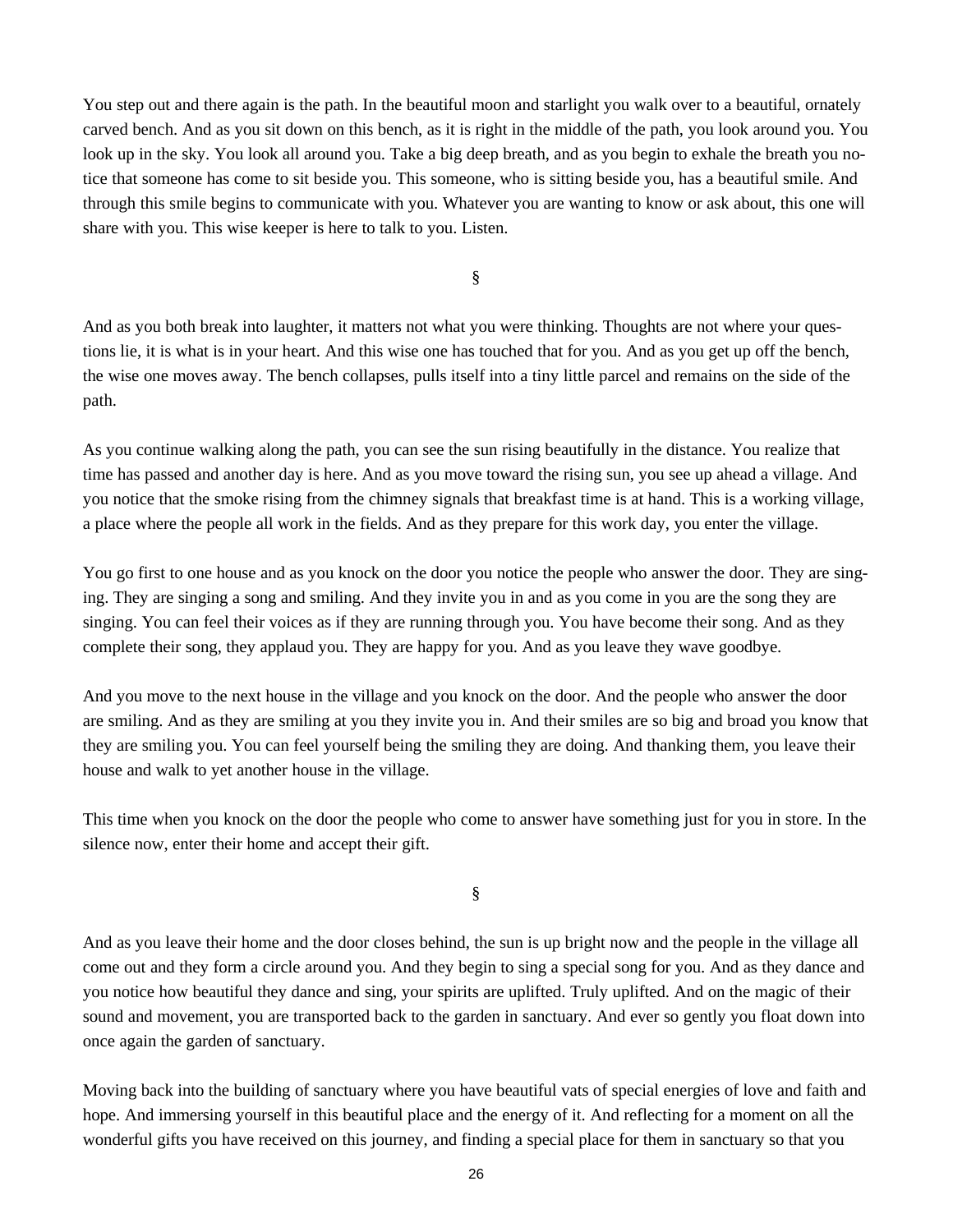You step out and there again is the path. In the beautiful moon and starlight you walk over to a beautiful, ornately carved bench. And as you sit down on this bench, as it is right in the middle of the path, you look around you. You look up in the sky. You look all around you. Take a big deep breath, and as you begin to exhale the breath you notice that someone has come to sit beside you. This someone, who is sitting beside you, has a beautiful smile. And through this smile begins to communicate with you. Whatever you are wanting to know or ask about, this one will share with you. This wise keeper is here to talk to you. Listen.

§

And as you both break into laughter, it matters not what you were thinking. Thoughts are not where your questions lie, it is what is in your heart. And this wise one has touched that for you. And as you get up off the bench, the wise one moves away. The bench collapses, pulls itself into a tiny little parcel and remains on the side of the path.

As you continue walking along the path, you can see the sun rising beautifully in the distance. You realize that time has passed and another day is here. And as you move toward the rising sun, you see up ahead a village. And you notice that the smoke rising from the chimney signals that breakfast time is at hand. This is a working village, a place where the people all work in the fields. And as they prepare for this work day, you enter the village.

You go first to one house and as you knock on the door you notice the people who answer the door. They are singing. They are singing a song and smiling. And they invite you in and as you come in you are the song they are singing. You can feel their voices as if they are running through you. You have become their song. And as they complete their song, they applaud you. They are happy for you. And as you leave they wave goodbye.

And you move to the next house in the village and you knock on the door. And the people who answer the door are smiling. And as they are smiling at you they invite you in. And their smiles are so big and broad you know that they are smiling you. You can feel yourself being the smiling they are doing. And thanking them, you leave their house and walk to yet another house in the village.

This time when you knock on the door the people who come to answer have something just for you in store. In the silence now, enter their home and accept their gift.

§

And as you leave their home and the door closes behind, the sun is up bright now and the people in the village all come out and they form a circle around you. And they begin to sing a special song for you. And as they dance and you notice how beautiful they dance and sing, your spirits are uplifted. Truly uplifted. And on the magic of their sound and movement, you are transported back to the garden in sanctuary. And ever so gently you float down into once again the garden of sanctuary.

Moving back into the building of sanctuary where you have beautiful vats of special energies of love and faith and hope. And immersing yourself in this beautiful place and the energy of it. And reflecting for a moment on all the wonderful gifts you have received on this journey, and finding a special place for them in sanctuary so that you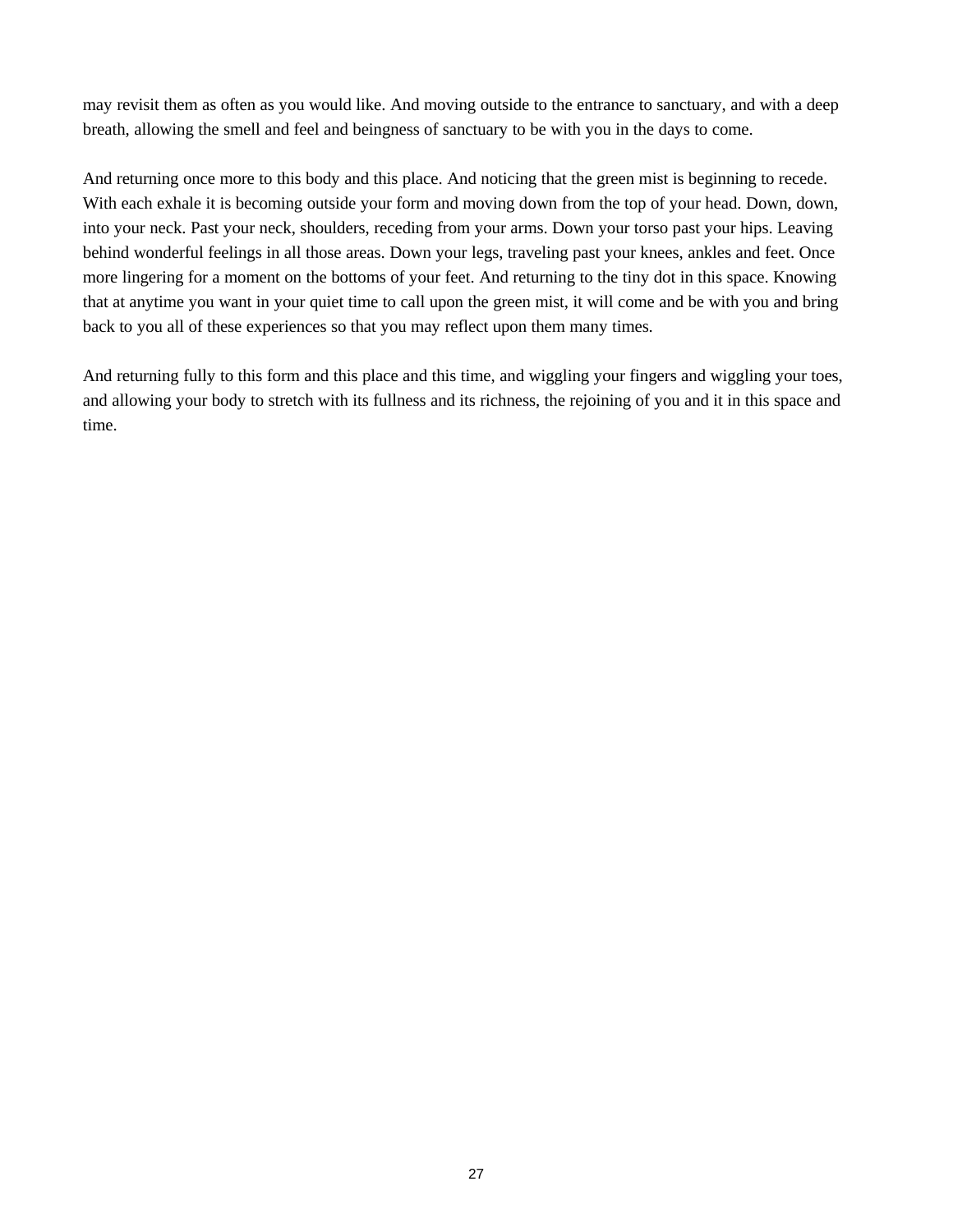may revisit them as often as you would like. And moving outside to the entrance to sanctuary, and with a deep breath, allowing the smell and feel and beingness of sanctuary to be with you in the days to come.

And returning once more to this body and this place. And noticing that the green mist is beginning to recede. With each exhale it is becoming outside your form and moving down from the top of your head. Down, down, into your neck. Past your neck, shoulders, receding from your arms. Down your torso past your hips. Leaving behind wonderful feelings in all those areas. Down your legs, traveling past your knees, ankles and feet. Once more lingering for a moment on the bottoms of your feet. And returning to the tiny dot in this space. Knowing that at anytime you want in your quiet time to call upon the green mist, it will come and be with you and bring back to you all of these experiences so that you may reflect upon them many times.

And returning fully to this form and this place and this time, and wiggling your fingers and wiggling your toes, and allowing your body to stretch with its fullness and its richness, the rejoining of you and it in this space and time.